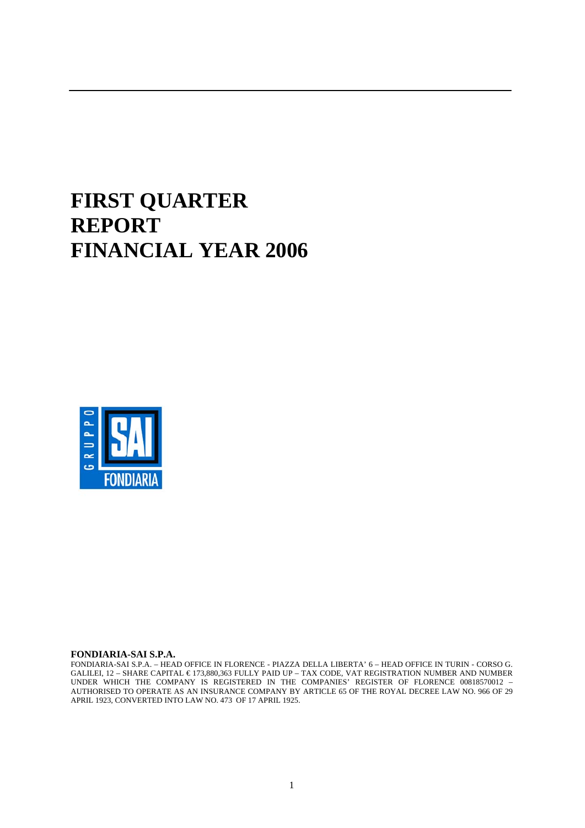# **FIRST QUARTER REPORT FINANCIAL YEAR 2006**



#### **FONDIARIA-SAI S.P.A.**

FONDIARIA-SAI S.P.A. – HEAD OFFICE IN FLORENCE - PIAZZA DELLA LIBERTA' 6 – HEAD OFFICE IN TURIN - CORSO G. GALILEI, 12 – SHARE CAPITAL € 173,880,363 FULLY PAID UP – TAX CODE, VAT REGISTRATION NUMBER AND NUMBER UNDER WHICH THE COMPANY IS REGISTERED IN THE COMPANIES' REGISTER OF FLORENCE 00818570012 – AUTHORISED TO OPERATE AS AN INSURANCE COMPANY BY ARTICLE 65 OF THE ROYAL DECREE LAW NO. 966 OF 29 APRIL 1923, CONVERTED INTO LAW NO. 473 OF 17 APRIL 1925.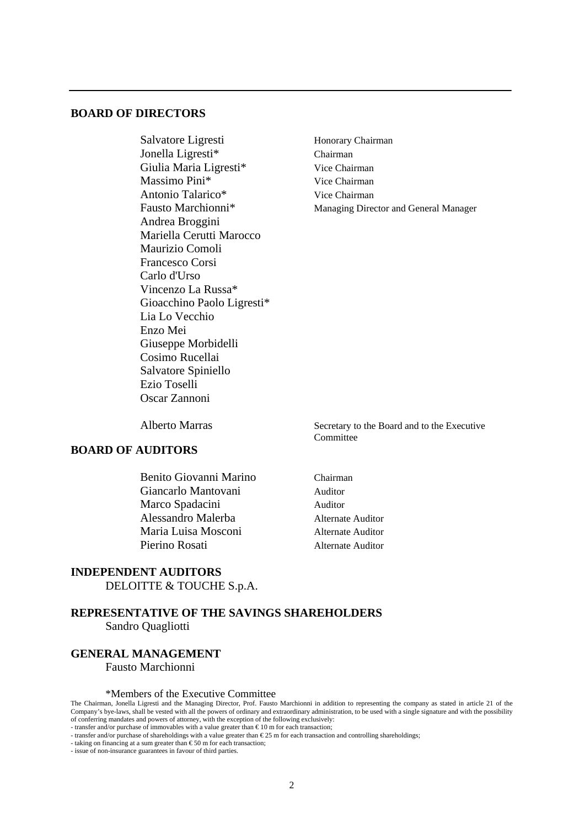# **BOARD OF DIRECTORS**

Salvatore Ligresti Honorary Chairman Jonella Ligresti\* Chairman Giulia Maria Ligresti<sup>\*</sup> Vice Chairman Massimo Pini<sup>\*</sup> Vice Chairman Antonio Talarico\* Vice Chairman Fausto Marchionni<sup>\*</sup> Managing Director and General Manager Andrea Broggini Mariella Cerutti Marocco Maurizio Comoli Francesco Corsi Carlo d'Urso Vincenzo La Russa\* Gioacchino Paolo Ligresti\* Lia Lo Vecchio Enzo Mei Giuseppe Morbidelli Cosimo Rucellai Salvatore Spiniello Ezio Toselli Oscar Zannoni

# **BOARD OF AUDITORS**

 Benito Giovanni Marino Chairman Giancarlo Mantovani ale Auditor Marco Spadacini Auditor Alessandro Malerba Alternate Auditor Maria Luisa Mosconi Alternate Auditor Pierino Rosati Alternate Auditor

Alberto Marras Secretary to the Board and to the Executive **Committee** 

# **INDEPENDENT AUDITORS**

DELOITTE & TOUCHE S.p.A.

# **REPRESENTATIVE OF THE SAVINGS SHAREHOLDERS**  Sandro Quagliotti

# **GENERAL MANAGEMENT**

Fausto Marchionni

#### \*Members of the Executive Committee

The Chairman, Jonella Ligresti and the Managing Director, Prof. Fausto Marchionni in addition to representing the company as stated in article 21 of the Company's bye-laws, shall be vested with all the powers of ordinary and extraordinary administration, to be used with a single signature and with the possibility of conferring mandates and powers of attorney, with the exception of the following exclusively:

- transfer and/or purchase of immovables with a value greater than € 10 m for each transaction;

- transfer and/or purchase of shareholdings with a value greater than € 25 m for each transaction and controlling shareholdings;

 $\frac{1}{2}$ - taking on financing at a sum greater than  $\epsilon$ 50 m for each transaction;

- issue of non-insurance guarantees in favour of third parties.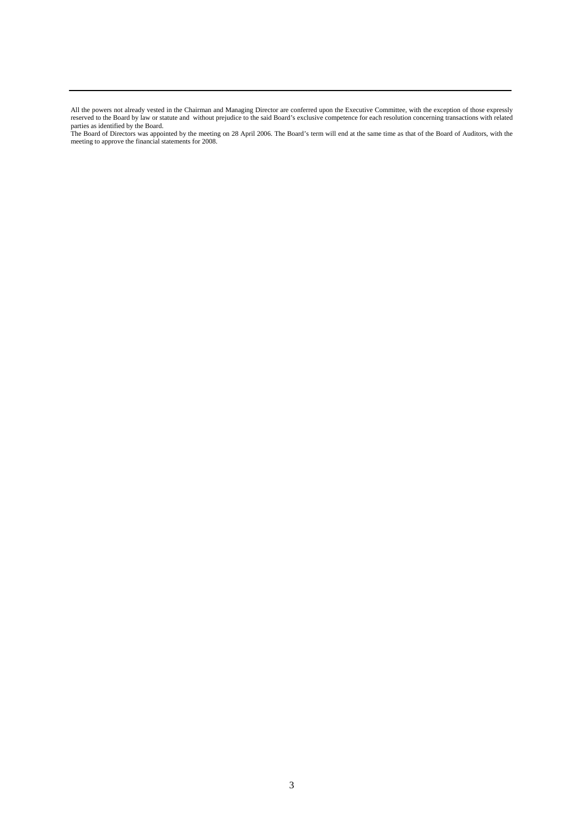All the powers not already vested in the Chairman and Managing Director are conferred upon the Executive Committee, with the exception of those expressly reserved to the Board by law or statute and without prejudice to the said Board's exclusive competence for each resolution concerning transactions with related parties as identified by the Board.

The Board of Directors was appointed by the meeting on 28 April 2006. The Board's term will end at the same time as that of the Board of Auditors, with the meeting to approve the financial statements for 2008.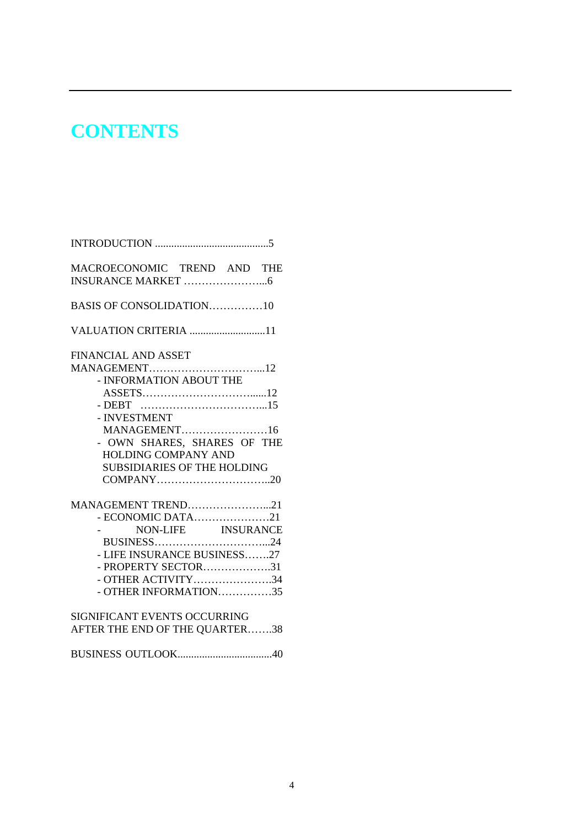# **CONTENTS**

| MACROECONOMIC TREND AND THE                                                                                                                        |
|----------------------------------------------------------------------------------------------------------------------------------------------------|
| BASIS OF CONSOLIDATION10                                                                                                                           |
| VALUATION CRITERIA 11                                                                                                                              |
| <b>FINANCIAL AND ASSET</b><br>- INFORMATION ABOUT THE<br>- INVESTMENT<br>MANAGEMENT16<br>- OWN SHARES, SHARES OF THE<br><b>HOLDING COMPANY AND</b> |
| <b>SUBSIDIARIES OF THE HOLDING</b>                                                                                                                 |
| MANAGEMENT TREND21<br>NON-LIFE INSURANCE<br>- LIFE INSURANCE BUSINESS27<br>- PROPERTY SECTOR31<br>- OTHER ACTIVITY34<br>- OTHER INFORMATION35      |
| <b>SIGNIFICANT EVENTS OCCURRING</b><br>AFTER THE END OF THE QUARTER38                                                                              |
|                                                                                                                                                    |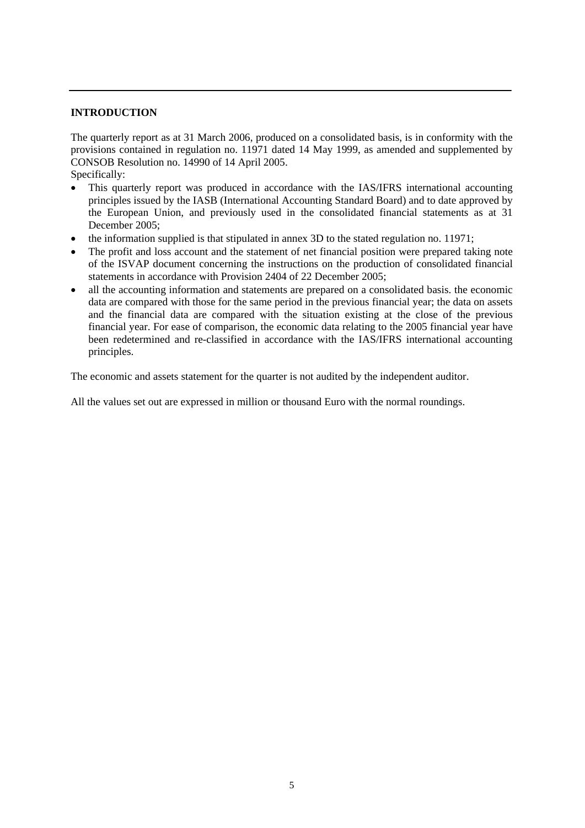### **INTRODUCTION**

The quarterly report as at 31 March 2006, produced on a consolidated basis, is in conformity with the provisions contained in regulation no. 11971 dated 14 May 1999, as amended and supplemented by CONSOB Resolution no. 14990 of 14 April 2005.

Specifically:

- This quarterly report was produced in accordance with the IAS/IFRS international accounting principles issued by the IASB (International Accounting Standard Board) and to date approved by the European Union, and previously used in the consolidated financial statements as at 31 December 2005;
- the information supplied is that stipulated in annex 3D to the stated regulation no. 11971;
- The profit and loss account and the statement of net financial position were prepared taking note of the ISVAP document concerning the instructions on the production of consolidated financial statements in accordance with Provision 2404 of 22 December 2005;
- all the accounting information and statements are prepared on a consolidated basis. the economic data are compared with those for the same period in the previous financial year; the data on assets and the financial data are compared with the situation existing at the close of the previous financial year. For ease of comparison, the economic data relating to the 2005 financial year have been redetermined and re-classified in accordance with the IAS/IFRS international accounting principles.

The economic and assets statement for the quarter is not audited by the independent auditor.

All the values set out are expressed in million or thousand Euro with the normal roundings.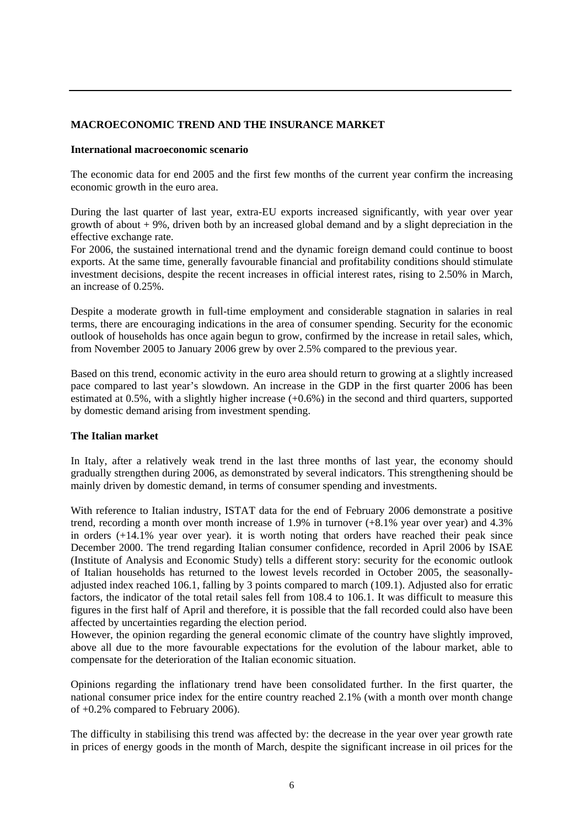# **MACROECONOMIC TREND AND THE INSURANCE MARKET**

#### **International macroeconomic scenario**

The economic data for end 2005 and the first few months of the current year confirm the increasing economic growth in the euro area.

During the last quarter of last year, extra-EU exports increased significantly, with year over year growth of about  $+9\%$ , driven both by an increased global demand and by a slight depreciation in the effective exchange rate.

For 2006, the sustained international trend and the dynamic foreign demand could continue to boost exports. At the same time, generally favourable financial and profitability conditions should stimulate investment decisions, despite the recent increases in official interest rates, rising to 2.50% in March, an increase of 0.25%.

Despite a moderate growth in full-time employment and considerable stagnation in salaries in real terms, there are encouraging indications in the area of consumer spending. Security for the economic outlook of households has once again begun to grow, confirmed by the increase in retail sales, which, from November 2005 to January 2006 grew by over 2.5% compared to the previous year.

Based on this trend, economic activity in the euro area should return to growing at a slightly increased pace compared to last year's slowdown. An increase in the GDP in the first quarter 2006 has been estimated at 0.5%, with a slightly higher increase (+0.6%) in the second and third quarters, supported by domestic demand arising from investment spending.

#### **The Italian market**

In Italy, after a relatively weak trend in the last three months of last year, the economy should gradually strengthen during 2006, as demonstrated by several indicators. This strengthening should be mainly driven by domestic demand, in terms of consumer spending and investments.

With reference to Italian industry, ISTAT data for the end of February 2006 demonstrate a positive trend, recording a month over month increase of 1.9% in turnover (+8.1% year over year) and 4.3% in orders (+14.1% year over year). it is worth noting that orders have reached their peak since December 2000. The trend regarding Italian consumer confidence, recorded in April 2006 by ISAE (Institute of Analysis and Economic Study) tells a different story: security for the economic outlook of Italian households has returned to the lowest levels recorded in October 2005, the seasonallyadjusted index reached 106.1, falling by 3 points compared to march (109.1). Adjusted also for erratic factors, the indicator of the total retail sales fell from 108.4 to 106.1. It was difficult to measure this figures in the first half of April and therefore, it is possible that the fall recorded could also have been affected by uncertainties regarding the election period.

However, the opinion regarding the general economic climate of the country have slightly improved, above all due to the more favourable expectations for the evolution of the labour market, able to compensate for the deterioration of the Italian economic situation.

Opinions regarding the inflationary trend have been consolidated further. In the first quarter, the national consumer price index for the entire country reached 2.1% (with a month over month change of +0.2% compared to February 2006).

The difficulty in stabilising this trend was affected by: the decrease in the year over year growth rate in prices of energy goods in the month of March, despite the significant increase in oil prices for the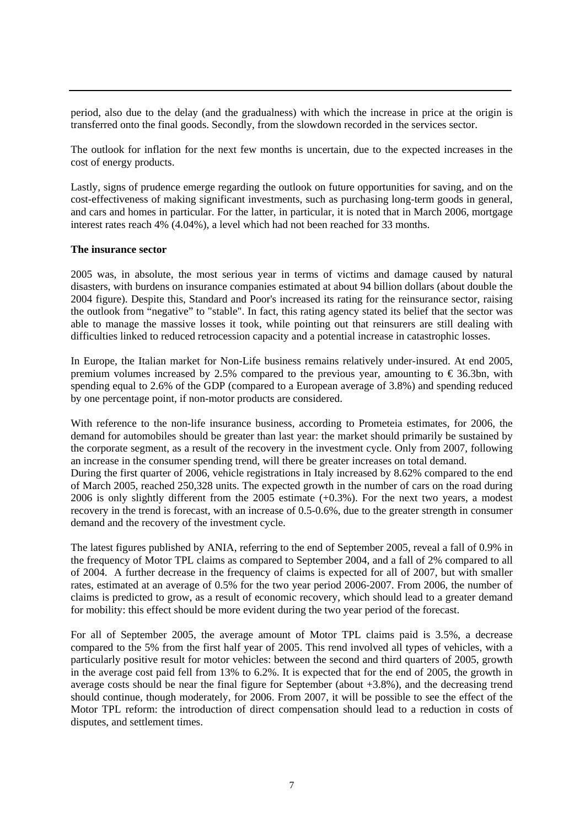period, also due to the delay (and the gradualness) with which the increase in price at the origin is transferred onto the final goods. Secondly, from the slowdown recorded in the services sector.

The outlook for inflation for the next few months is uncertain, due to the expected increases in the cost of energy products.

Lastly, signs of prudence emerge regarding the outlook on future opportunities for saving, and on the cost-effectiveness of making significant investments, such as purchasing long-term goods in general, and cars and homes in particular. For the latter, in particular, it is noted that in March 2006, mortgage interest rates reach 4% (4.04%), a level which had not been reached for 33 months.

#### **The insurance sector**

2005 was, in absolute, the most serious year in terms of victims and damage caused by natural disasters, with burdens on insurance companies estimated at about 94 billion dollars (about double the 2004 figure). Despite this, Standard and Poor's increased its rating for the reinsurance sector, raising the outlook from "negative" to "stable". In fact, this rating agency stated its belief that the sector was able to manage the massive losses it took, while pointing out that reinsurers are still dealing with difficulties linked to reduced retrocession capacity and a potential increase in catastrophic losses.

In Europe, the Italian market for Non-Life business remains relatively under-insured. At end 2005, premium volumes increased by 2.5% compared to the previous year, amounting to  $\epsilon$  36.3bn, with spending equal to 2.6% of the GDP (compared to a European average of 3.8%) and spending reduced by one percentage point, if non-motor products are considered.

With reference to the non-life insurance business, according to Prometeia estimates, for 2006, the demand for automobiles should be greater than last year: the market should primarily be sustained by the corporate segment, as a result of the recovery in the investment cycle. Only from 2007, following an increase in the consumer spending trend, will there be greater increases on total demand. During the first quarter of 2006, vehicle registrations in Italy increased by 8.62% compared to the end of March 2005, reached 250,328 units. The expected growth in the number of cars on the road during 2006 is only slightly different from the 2005 estimate (+0.3%). For the next two years, a modest recovery in the trend is forecast, with an increase of 0.5-0.6%, due to the greater strength in consumer demand and the recovery of the investment cycle.

The latest figures published by ANIA, referring to the end of September 2005, reveal a fall of 0.9% in the frequency of Motor TPL claims as compared to September 2004, and a fall of 2% compared to all of 2004. A further decrease in the frequency of claims is expected for all of 2007, but with smaller rates, estimated at an average of 0.5% for the two year period 2006-2007. From 2006, the number of claims is predicted to grow, as a result of economic recovery, which should lead to a greater demand for mobility: this effect should be more evident during the two year period of the forecast.

For all of September 2005, the average amount of Motor TPL claims paid is 3.5%, a decrease compared to the 5% from the first half year of 2005. This rend involved all types of vehicles, with a particularly positive result for motor vehicles: between the second and third quarters of 2005, growth in the average cost paid fell from 13% to 6.2%. It is expected that for the end of 2005, the growth in average costs should be near the final figure for September (about +3.8%), and the decreasing trend should continue, though moderately, for 2006. From 2007, it will be possible to see the effect of the Motor TPL reform: the introduction of direct compensation should lead to a reduction in costs of disputes, and settlement times.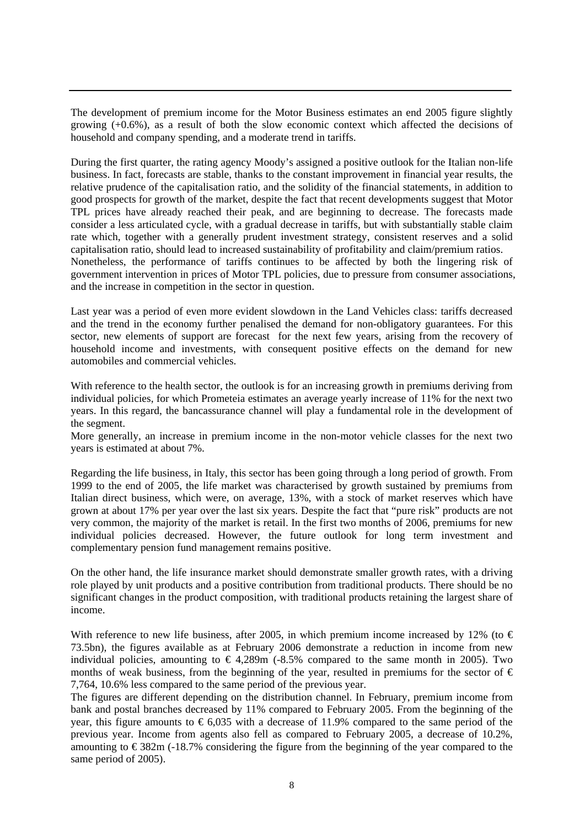The development of premium income for the Motor Business estimates an end 2005 figure slightly growing  $(+0.6%)$ , as a result of both the slow economic context which affected the decisions of household and company spending, and a moderate trend in tariffs.

During the first quarter, the rating agency Moody's assigned a positive outlook for the Italian non-life business. In fact, forecasts are stable, thanks to the constant improvement in financial year results, the relative prudence of the capitalisation ratio, and the solidity of the financial statements, in addition to good prospects for growth of the market, despite the fact that recent developments suggest that Motor TPL prices have already reached their peak, and are beginning to decrease. The forecasts made consider a less articulated cycle, with a gradual decrease in tariffs, but with substantially stable claim rate which, together with a generally prudent investment strategy, consistent reserves and a solid capitalisation ratio, should lead to increased sustainability of profitability and claim/premium ratios. Nonetheless, the performance of tariffs continues to be affected by both the lingering risk of government intervention in prices of Motor TPL policies, due to pressure from consumer associations, and the increase in competition in the sector in question.

Last year was a period of even more evident slowdown in the Land Vehicles class: tariffs decreased and the trend in the economy further penalised the demand for non-obligatory guarantees. For this sector, new elements of support are forecast for the next few years, arising from the recovery of household income and investments, with consequent positive effects on the demand for new automobiles and commercial vehicles.

With reference to the health sector, the outlook is for an increasing growth in premiums deriving from individual policies, for which Prometeia estimates an average yearly increase of 11% for the next two years. In this regard, the bancassurance channel will play a fundamental role in the development of the segment.

More generally, an increase in premium income in the non-motor vehicle classes for the next two years is estimated at about 7%.

Regarding the life business, in Italy, this sector has been going through a long period of growth. From 1999 to the end of 2005, the life market was characterised by growth sustained by premiums from Italian direct business, which were, on average, 13%, with a stock of market reserves which have grown at about 17% per year over the last six years. Despite the fact that "pure risk" products are not very common, the majority of the market is retail. In the first two months of 2006, premiums for new individual policies decreased. However, the future outlook for long term investment and complementary pension fund management remains positive.

On the other hand, the life insurance market should demonstrate smaller growth rates, with a driving role played by unit products and a positive contribution from traditional products. There should be no significant changes in the product composition, with traditional products retaining the largest share of income.

With reference to new life business, after 2005, in which premium income increased by 12% (to  $\epsilon$ 73.5bn), the figures available as at February 2006 demonstrate a reduction in income from new individual policies, amounting to  $\epsilon$  4,289m (-8.5% compared to the same month in 2005). Two months of weak business, from the beginning of the year, resulted in premiums for the sector of  $\epsilon$ 7,764, 10.6% less compared to the same period of the previous year.

The figures are different depending on the distribution channel. In February, premium income from bank and postal branches decreased by 11% compared to February 2005. From the beginning of the year, this figure amounts to  $\epsilon$ 6,035 with a decrease of 11.9% compared to the same period of the previous year. Income from agents also fell as compared to February 2005, a decrease of 10.2%, amounting to  $\epsilon$ 382m (-18.7% considering the figure from the beginning of the year compared to the same period of 2005).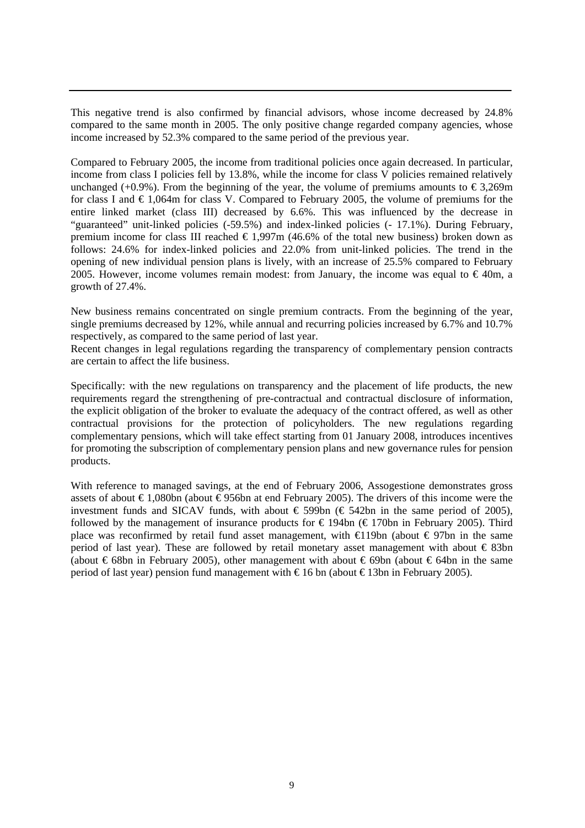This negative trend is also confirmed by financial advisors, whose income decreased by 24.8% compared to the same month in 2005. The only positive change regarded company agencies, whose income increased by 52.3% compared to the same period of the previous year.

Compared to February 2005, the income from traditional policies once again decreased. In particular, income from class I policies fell by 13.8%, while the income for class V policies remained relatively unchanged (+0.9%). From the beginning of the year, the volume of premiums amounts to  $\epsilon$ 3,269m for class I and  $\epsilon$  1,064m for class V. Compared to February 2005, the volume of premiums for the entire linked market (class III) decreased by 6.6%. This was influenced by the decrease in "guaranteed" unit-linked policies (-59.5%) and index-linked policies (- 17.1%). During February, premium income for class III reached  $\epsilon$  1,997m (46.6% of the total new business) broken down as follows: 24.6% for index-linked policies and 22.0% from unit-linked policies. The trend in the opening of new individual pension plans is lively, with an increase of 25.5% compared to February 2005. However, income volumes remain modest: from January, the income was equal to  $\epsilon$ 40m, a growth of 27.4%.

New business remains concentrated on single premium contracts. From the beginning of the year, single premiums decreased by 12%, while annual and recurring policies increased by 6.7% and 10.7% respectively, as compared to the same period of last year.

Recent changes in legal regulations regarding the transparency of complementary pension contracts are certain to affect the life business.

Specifically: with the new regulations on transparency and the placement of life products, the new requirements regard the strengthening of pre-contractual and contractual disclosure of information, the explicit obligation of the broker to evaluate the adequacy of the contract offered, as well as other contractual provisions for the protection of policyholders. The new regulations regarding complementary pensions, which will take effect starting from 01 January 2008, introduces incentives for promoting the subscription of complementary pension plans and new governance rules for pension products.

With reference to managed savings, at the end of February 2006, Assogestione demonstrates gross assets of about €1,080bn (about €956bn at end February 2005). The drivers of this income were the investment funds and SICAV funds, with about  $\epsilon$  599bn ( $\epsilon$  542bn in the same period of 2005), followed by the management of insurance products for  $\epsilon$  194bn ( $\epsilon$  170bn in February 2005). Third place was reconfirmed by retail fund asset management, with  $€19$ bn (about  $€97$ bn in the same period of last year). These are followed by retail monetary asset management with about  $\epsilon$  83bn (about €68bn in February 2005), other management with about €69bn (about €64bn in the same period of last year) pension fund management with € 16 bn (about € 13bn in February 2005).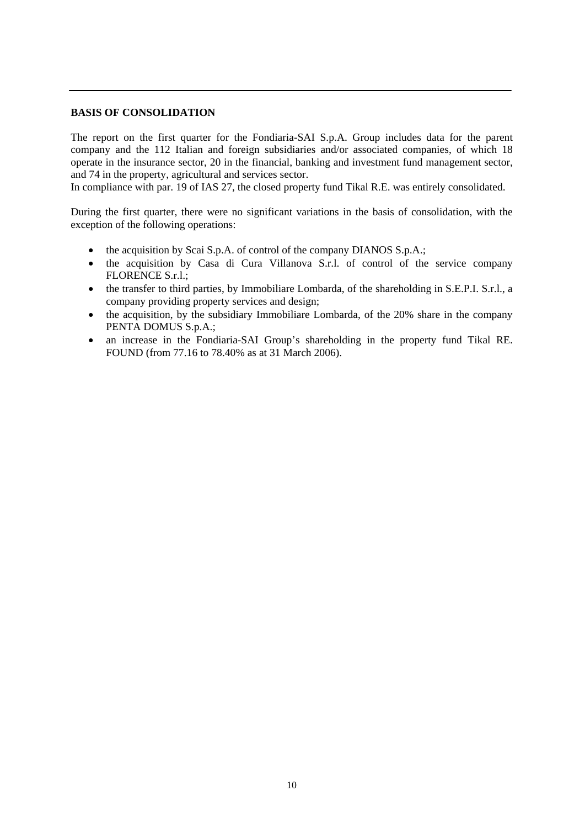### **BASIS OF CONSOLIDATION**

The report on the first quarter for the Fondiaria-SAI S.p.A. Group includes data for the parent company and the 112 Italian and foreign subsidiaries and/or associated companies, of which 18 operate in the insurance sector, 20 in the financial, banking and investment fund management sector, and 74 in the property, agricultural and services sector.

In compliance with par. 19 of IAS 27, the closed property fund Tikal R.E. was entirely consolidated.

During the first quarter, there were no significant variations in the basis of consolidation, with the exception of the following operations:

- the acquisition by Scai S.p.A. of control of the company DIANOS S.p.A.;
- the acquisition by Casa di Cura Villanova S.r.l. of control of the service company FLORENCE S.r.l.;
- the transfer to third parties, by Immobiliare Lombarda, of the shareholding in S.E.P.I. S.r.l., a company providing property services and design;
- the acquisition, by the subsidiary Immobiliare Lombarda, of the 20% share in the company PENTA DOMUS S.p.A.;
- an increase in the Fondiaria-SAI Group's shareholding in the property fund Tikal RE. FOUND (from 77.16 to 78.40% as at 31 March 2006).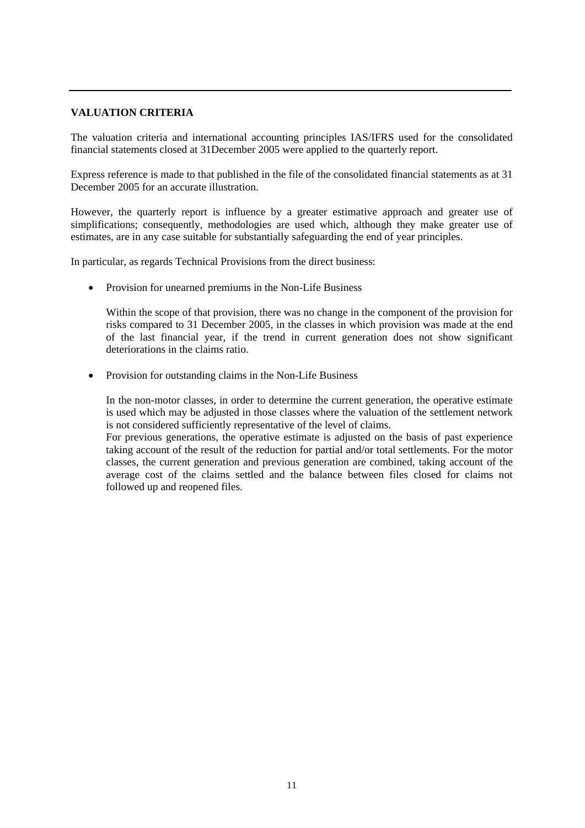# **VALUATION CRITERIA**

The valuation criteria and international accounting principles IAS/IFRS used for the consolidated financial statements closed at 31December 2005 were applied to the quarterly report.

Express reference is made to that published in the file of the consolidated financial statements as at 31 December 2005 for an accurate illustration.

However, the quarterly report is influence by a greater estimative approach and greater use of simplifications; consequently, methodologies are used which, although they make greater use of estimates, are in any case suitable for substantially safeguarding the end of year principles.

In particular, as regards Technical Provisions from the direct business:

• Provision for unearned premiums in the Non-Life Business

Within the scope of that provision, there was no change in the component of the provision for risks compared to 31 December 2005, in the classes in which provision was made at the end of the last financial year, if the trend in current generation does not show significant deteriorations in the claims ratio.

• Provision for outstanding claims in the Non-Life Business

In the non-motor classes, in order to determine the current generation, the operative estimate is used which may be adjusted in those classes where the valuation of the settlement network is not considered sufficiently representative of the level of claims.

For previous generations, the operative estimate is adjusted on the basis of past experience taking account of the result of the reduction for partial and/or total settlements. For the motor classes, the current generation and previous generation are combined, taking account of the average cost of the claims settled and the balance between files closed for claims not followed up and reopened files.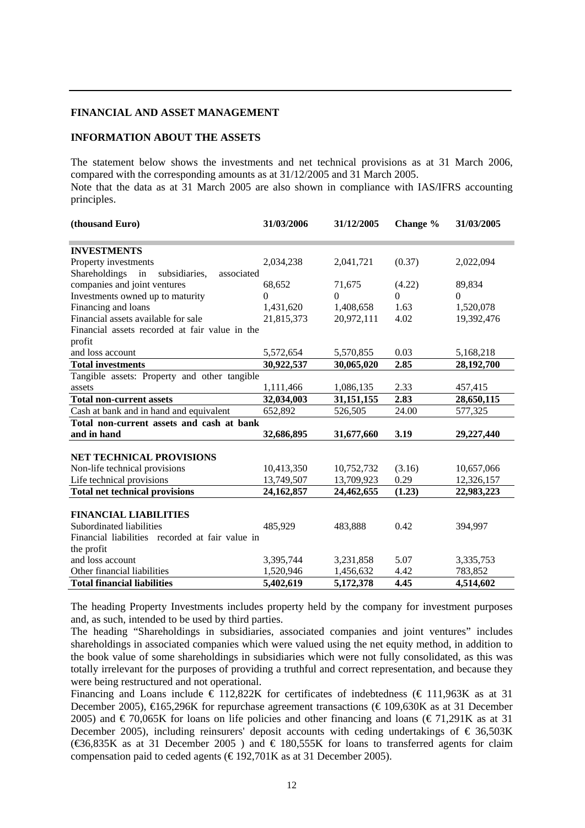#### **FINANCIAL AND ASSET MANAGEMENT**

### **INFORMATION ABOUT THE ASSETS**

The statement below shows the investments and net technical provisions as at 31 March 2006, compared with the corresponding amounts as at 31/12/2005 and 31 March 2005. Note that the data as at 31 March 2005 are also shown in compliance with IAS/IFRS accounting principles.

| (thousand Euro)                                    | 31/03/2006   | 31/12/2005 | Change % | 31/03/2005 |
|----------------------------------------------------|--------------|------------|----------|------------|
|                                                    |              |            |          |            |
| <b>INVESTMENTS</b>                                 |              |            |          |            |
| Property investments                               | 2,034,238    | 2,041,721  | (0.37)   | 2,022,094  |
| Shareholdings<br>in<br>associated<br>subsidiaries, |              |            |          |            |
| companies and joint ventures                       | 68,652       | 71,675     | (4.22)   | 89,834     |
| Investments owned up to maturity                   | $\theta$     | $\Omega$   | $\Omega$ | $\Omega$   |
| Financing and loans                                | 1,431,620    | 1,408,658  | 1.63     | 1,520,078  |
| Financial assets available for sale                | 21,815,373   | 20,972,111 | 4.02     | 19,392,476 |
| Financial assets recorded at fair value in the     |              |            |          |            |
| profit                                             |              |            |          |            |
| and loss account                                   | 5,572,654    | 5,570,855  | 0.03     | 5,168,218  |
| <b>Total investments</b>                           | 30,922,537   | 30,065,020 | 2.85     | 28,192,700 |
| Tangible assets: Property and other tangible       |              |            |          |            |
| assets                                             | 1,111,466    | 1,086,135  | 2.33     | 457,415    |
| <b>Total non-current assets</b>                    | 32,034,003   | 31,151,155 | 2.83     | 28,650,115 |
| Cash at bank and in hand and equivalent            | 652,892      | 526,505    | 24.00    | 577,325    |
| Total non-current assets and cash at bank          |              |            |          |            |
| and in hand                                        | 32,686,895   | 31,677,660 | 3.19     | 29,227,440 |
|                                                    |              |            |          |            |
| <b>NET TECHNICAL PROVISIONS</b>                    |              |            |          |            |
| Non-life technical provisions                      | 10,413,350   | 10,752,732 | (3.16)   | 10,657,066 |
| Life technical provisions                          | 13,749,507   | 13,709,923 | 0.29     | 12,326,157 |
| <b>Total net technical provisions</b>              | 24, 162, 857 | 24,462,655 | (1.23)   | 22,983,223 |
|                                                    |              |            |          |            |
| <b>FINANCIAL LIABILITIES</b>                       |              |            |          |            |
| Subordinated liabilities                           | 485,929      | 483,888    | 0.42     | 394,997    |
| Financial liabilities recorded at fair value in    |              |            |          |            |
| the profit                                         |              |            |          |            |
| and loss account                                   | 3,395,744    | 3,231,858  | 5.07     | 3,335,753  |
| Other financial liabilities                        | 1,520,946    | 1,456,632  | 4.42     | 783,852    |
| <b>Total financial liabilities</b>                 | 5,402,619    | 5,172,378  | 4.45     | 4,514,602  |

The heading Property Investments includes property held by the company for investment purposes and, as such, intended to be used by third parties.

The heading "Shareholdings in subsidiaries, associated companies and joint ventures" includes shareholdings in associated companies which were valued using the net equity method, in addition to the book value of some shareholdings in subsidiaries which were not fully consolidated, as this was totally irrelevant for the purposes of providing a truthful and correct representation, and because they were being restructured and not operational.

Financing and Loans include  $\epsilon$  112,822K for certificates of indebtedness ( $\epsilon$  111,963K as at 31 December 2005),  $\bigoplus 65,296K$  for repurchase agreement transactions ( $\bigoplus 109,630K$  as at 31 December 2005) and  $\in$  70,065K for loans on life policies and other financing and loans ( $\in$  71,291K as at 31 December 2005), including reinsurers' deposit accounts with ceding undertakings of  $\epsilon$  36,503K ( $\text{\textsterling}35K$  as at 31 December 2005) and  $\text{\textsterling}180,555K$  for loans to transferred agents for claim compensation paid to ceded agents ( $\epsilon$ 192,701K as at 31 December 2005).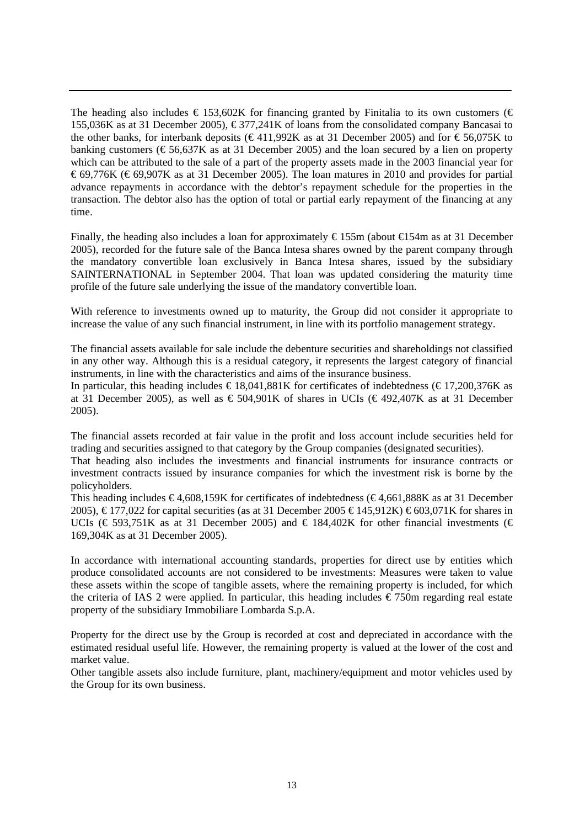The heading also includes  $\epsilon$  153,602K for financing granted by Finitalia to its own customers ( $\epsilon$ 155,036K as at 31 December 2005),  $\epsilon$ 377,241K of loans from the consolidated company Bancasai to the other banks, for interbank deposits (€411,992K as at 31 December 2005) and for  $\epsilon$ 56,075K to banking customers ( $\epsilon$ 56,637K as at 31 December 2005) and the loan secured by a lien on property which can be attributed to the sale of a part of the property assets made in the 2003 financial year for €69,776K (€69,907K as at 31 December 2005). The loan matures in 2010 and provides for partial advance repayments in accordance with the debtor's repayment schedule for the properties in the transaction. The debtor also has the option of total or partial early repayment of the financing at any time.

Finally, the heading also includes a loan for approximately  $\epsilon$ 155m (about  $\epsilon$ 154m as at 31 December 2005), recorded for the future sale of the Banca Intesa shares owned by the parent company through the mandatory convertible loan exclusively in Banca Intesa shares, issued by the subsidiary SAINTERNATIONAL in September 2004. That loan was updated considering the maturity time profile of the future sale underlying the issue of the mandatory convertible loan.

With reference to investments owned up to maturity, the Group did not consider it appropriate to increase the value of any such financial instrument, in line with its portfolio management strategy.

The financial assets available for sale include the debenture securities and shareholdings not classified in any other way. Although this is a residual category, it represents the largest category of financial instruments, in line with the characteristics and aims of the insurance business.

In particular, this heading includes  $\epsilon$  18.041,881K for certificates of indebtedness ( $\epsilon$ 17,200,376K as at 31 December 2005), as well as  $\epsilon$  504,901K of shares in UCIs ( $\epsilon$ 492,407K as at 31 December 2005).

The financial assets recorded at fair value in the profit and loss account include securities held for trading and securities assigned to that category by the Group companies (designated securities).

That heading also includes the investments and financial instruments for insurance contracts or investment contracts issued by insurance companies for which the investment risk is borne by the policyholders.

This heading includes  $\epsilon$ 4,608,159K for certificates of indebtedness ( $\epsilon$ 4,661,888K as at 31 December 2005), €177,022 for capital securities (as at 31 December 2005 €145,912K) €603,071K for shares in UCIs (€ 593,751K as at 31 December 2005) and € 184,402K for other financial investments (€ 169,304K as at 31 December 2005).

In accordance with international accounting standards, properties for direct use by entities which produce consolidated accounts are not considered to be investments: Measures were taken to value these assets within the scope of tangible assets, where the remaining property is included, for which the criteria of IAS 2 were applied. In particular, this heading includes  $\epsilon$ 750m regarding real estate property of the subsidiary Immobiliare Lombarda S.p.A.

Property for the direct use by the Group is recorded at cost and depreciated in accordance with the estimated residual useful life. However, the remaining property is valued at the lower of the cost and market value.

Other tangible assets also include furniture, plant, machinery/equipment and motor vehicles used by the Group for its own business.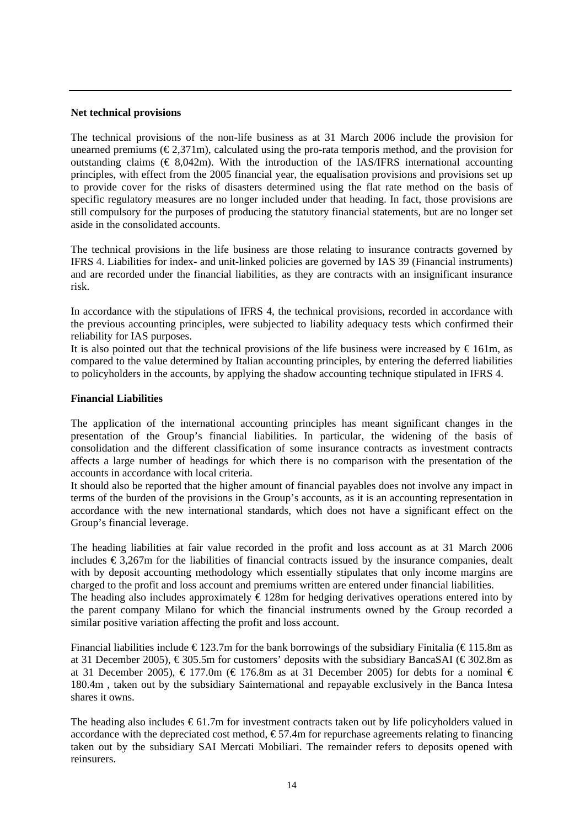#### **Net technical provisions**

The technical provisions of the non-life business as at 31 March 2006 include the provision for unearned premiums ( $\epsilon$ 2,371m), calculated using the pro-rata temporis method, and the provision for outstanding claims  $(\text{\textsterling} 8.042m)$ . With the introduction of the IAS/IFRS international accounting principles, with effect from the 2005 financial year, the equalisation provisions and provisions set up to provide cover for the risks of disasters determined using the flat rate method on the basis of specific regulatory measures are no longer included under that heading. In fact, those provisions are still compulsory for the purposes of producing the statutory financial statements, but are no longer set aside in the consolidated accounts.

The technical provisions in the life business are those relating to insurance contracts governed by IFRS 4. Liabilities for index- and unit-linked policies are governed by IAS 39 (Financial instruments) and are recorded under the financial liabilities, as they are contracts with an insignificant insurance risk.

In accordance with the stipulations of IFRS 4, the technical provisions, recorded in accordance with the previous accounting principles, were subjected to liability adequacy tests which confirmed their reliability for IAS purposes.

It is also pointed out that the technical provisions of the life business were increased by  $\epsilon$  161m, as compared to the value determined by Italian accounting principles, by entering the deferred liabilities to policyholders in the accounts, by applying the shadow accounting technique stipulated in IFRS 4.

## **Financial Liabilities**

The application of the international accounting principles has meant significant changes in the presentation of the Group's financial liabilities. In particular, the widening of the basis of consolidation and the different classification of some insurance contracts as investment contracts affects a large number of headings for which there is no comparison with the presentation of the accounts in accordance with local criteria.

It should also be reported that the higher amount of financial payables does not involve any impact in terms of the burden of the provisions in the Group's accounts, as it is an accounting representation in accordance with the new international standards, which does not have a significant effect on the Group's financial leverage.

The heading liabilities at fair value recorded in the profit and loss account as at 31 March 2006 includes  $\epsilon$  3,267m for the liabilities of financial contracts issued by the insurance companies, dealt with by deposit accounting methodology which essentially stipulates that only income margins are charged to the profit and loss account and premiums written are entered under financial liabilities. The heading also includes approximately  $\epsilon$  128m for hedging derivatives operations entered into by the parent company Milano for which the financial instruments owned by the Group recorded a similar positive variation affecting the profit and loss account.

Financial liabilities include  $\epsilon$  123.7m for the bank borrowings of the subsidiary Finitalia ( $\epsilon$ 115.8m as at 31 December 2005),  $\epsilon$ 305.5m for customers' deposits with the subsidiary BancaSAI ( $\epsilon$ 302.8m as at 31 December 2005),  $\in$  177.0m ( $\in$  176.8m as at 31 December 2005) for debts for a nominal  $\in$ 180.4m , taken out by the subsidiary Sainternational and repayable exclusively in the Banca Intesa shares it owns.

The heading also includes  $\epsilon$ 61.7m for investment contracts taken out by life policyholders valued in accordance with the depreciated cost method,  $\epsilon$  57.4m for repurchase agreements relating to financing taken out by the subsidiary SAI Mercati Mobiliari. The remainder refers to deposits opened with reinsurers.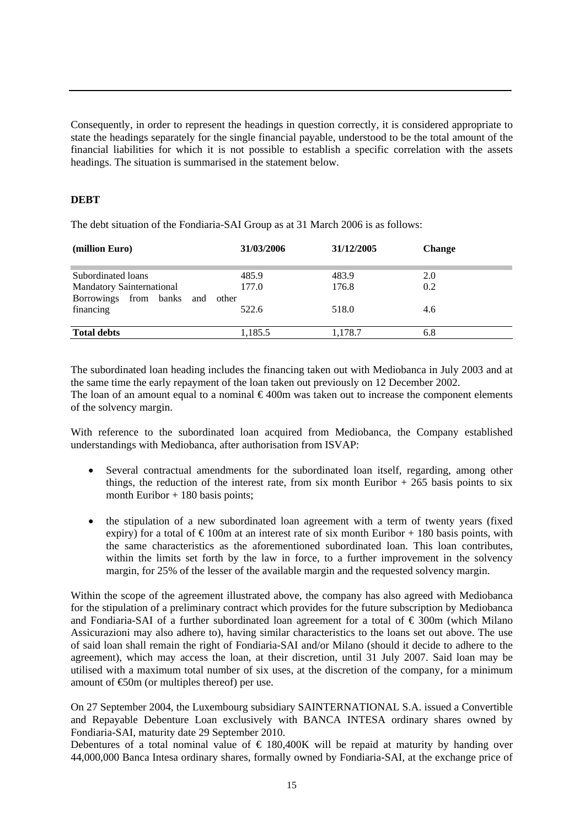Consequently, in order to represent the headings in question correctly, it is considered appropriate to state the headings separately for the single financial payable, understood to be the total amount of the financial liabilities for which it is not possible to establish a specific correlation with the assets headings. The situation is summarised in the statement below.

# **DEBT**

The debt situation of the Fondiaria-SAI Group as at 31 March 2006 is as follows:

| 31/03/2006 | 31/12/2005     | <b>Change</b> |  |
|------------|----------------|---------------|--|
|            |                |               |  |
|            |                | 2.0           |  |
| 177.0      | 176.8          | 0.2           |  |
|            |                |               |  |
| 522.6      | 518.0          | 4.6           |  |
| 1.185.5    | 1,178.7        | 6.8           |  |
|            | 485.9<br>other | 483.9         |  |

The subordinated loan heading includes the financing taken out with Mediobanca in July 2003 and at the same time the early repayment of the loan taken out previously on 12 December 2002. The loan of an amount equal to a nominal  $\epsilon$ 400m was taken out to increase the component elements of the solvency margin.

With reference to the subordinated loan acquired from Mediobanca, the Company established understandings with Mediobanca, after authorisation from ISVAP:

- Several contractual amendments for the subordinated loan itself, regarding, among other things, the reduction of the interest rate, from six month Euribor  $+265$  basis points to six month Euribor  $+ 180$  basis points;
- the stipulation of a new subordinated loan agreement with a term of twenty years (fixed expiry) for a total of  $\epsilon$ 100m at an interest rate of six month Euribor + 180 basis points, with the same characteristics as the aforementioned subordinated loan. This loan contributes, within the limits set forth by the law in force, to a further improvement in the solvency margin, for 25% of the lesser of the available margin and the requested solvency margin.

Within the scope of the agreement illustrated above, the company has also agreed with Mediobanca for the stipulation of a preliminary contract which provides for the future subscription by Mediobanca and Fondiaria-SAI of a further subordinated loan agreement for a total of  $\epsilon$  300m (which Milano Assicurazioni may also adhere to), having similar characteristics to the loans set out above. The use of said loan shall remain the right of Fondiaria-SAI and/or Milano (should it decide to adhere to the agreement), which may access the loan, at their discretion, until 31 July 2007. Said loan may be utilised with a maximum total number of six uses, at the discretion of the company, for a minimum amount of €50m (or multiples thereof) per use.

On 27 September 2004, the Luxembourg subsidiary SAINTERNATIONAL S.A. issued a Convertible and Repayable Debenture Loan exclusively with BANCA INTESA ordinary shares owned by Fondiaria-SAI, maturity date 29 September 2010.

Debentures of a total nominal value of  $\epsilon$  180,400K will be repaid at maturity by handing over 44,000,000 Banca Intesa ordinary shares, formally owned by Fondiaria-SAI, at the exchange price of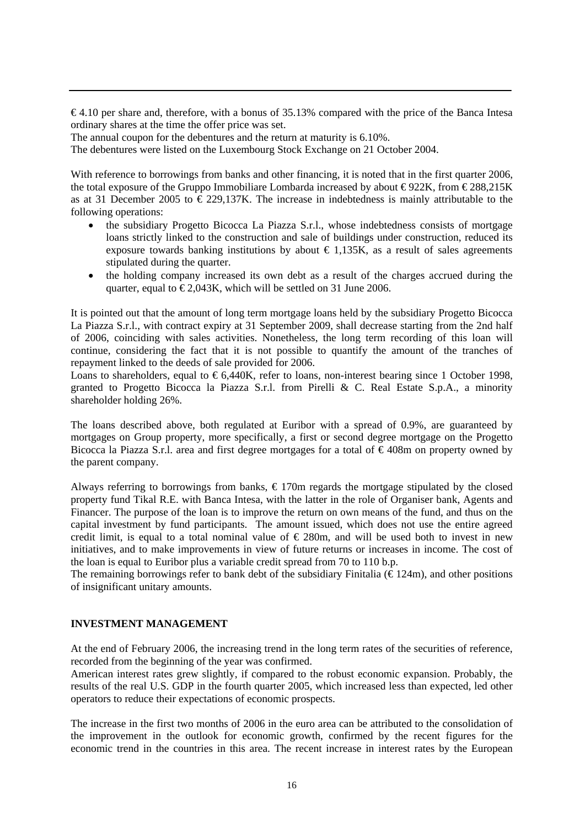$\epsilon$ 4.10 per share and, therefore, with a bonus of 35.13% compared with the price of the Banca Intesa ordinary shares at the time the offer price was set.

The annual coupon for the debentures and the return at maturity is 6.10%.

The debentures were listed on the Luxembourg Stock Exchange on 21 October 2004.

With reference to borrowings from banks and other financing, it is noted that in the first quarter 2006, the total exposure of the Gruppo Immobiliare Lombarda increased by about  $\epsilon$ 922K, from  $\epsilon$ 288,215K as at 31 December 2005 to  $\epsilon$  229,137K. The increase in indebtedness is mainly attributable to the following operations:

- the subsidiary Progetto Bicocca La Piazza S.r.l., whose indebtedness consists of mortgage loans strictly linked to the construction and sale of buildings under construction, reduced its exposure towards banking institutions by about  $\epsilon$  1,135K, as a result of sales agreements stipulated during the quarter.
- the holding company increased its own debt as a result of the charges accrued during the quarter, equal to  $\epsilon$ 2,043K, which will be settled on 31 June 2006.

It is pointed out that the amount of long term mortgage loans held by the subsidiary Progetto Bicocca La Piazza S.r.l., with contract expiry at 31 September 2009, shall decrease starting from the 2nd half of 2006, coinciding with sales activities. Nonetheless, the long term recording of this loan will continue, considering the fact that it is not possible to quantify the amount of the tranches of repayment linked to the deeds of sale provided for 2006.

Loans to shareholders, equal to  $\epsilon$ 6,440K, refer to loans, non-interest bearing since 1 October 1998, granted to Progetto Bicocca la Piazza S.r.l. from Pirelli & C. Real Estate S.p.A., a minority shareholder holding 26%.

The loans described above, both regulated at Euribor with a spread of 0.9%, are guaranteed by mortgages on Group property, more specifically, a first or second degree mortgage on the Progetto Bicocca la Piazza S.r.l. area and first degree mortgages for a total of  $\epsilon$ 408m on property owned by the parent company.

Always referring to borrowings from banks,  $\epsilon$ 170m regards the mortgage stipulated by the closed property fund Tikal R.E. with Banca Intesa, with the latter in the role of Organiser bank, Agents and Financer. The purpose of the loan is to improve the return on own means of the fund, and thus on the capital investment by fund participants. The amount issued, which does not use the entire agreed credit limit, is equal to a total nominal value of  $\epsilon$  280m, and will be used both to invest in new initiatives, and to make improvements in view of future returns or increases in income. The cost of the loan is equal to Euribor plus a variable credit spread from 70 to 110 b.p.

The remaining borrowings refer to bank debt of the subsidiary Finitalia ( $\epsilon$ 124m), and other positions of insignificant unitary amounts.

## **INVESTMENT MANAGEMENT**

At the end of February 2006, the increasing trend in the long term rates of the securities of reference, recorded from the beginning of the year was confirmed.

American interest rates grew slightly, if compared to the robust economic expansion. Probably, the results of the real U.S. GDP in the fourth quarter 2005, which increased less than expected, led other operators to reduce their expectations of economic prospects.

The increase in the first two months of 2006 in the euro area can be attributed to the consolidation of the improvement in the outlook for economic growth, confirmed by the recent figures for the economic trend in the countries in this area. The recent increase in interest rates by the European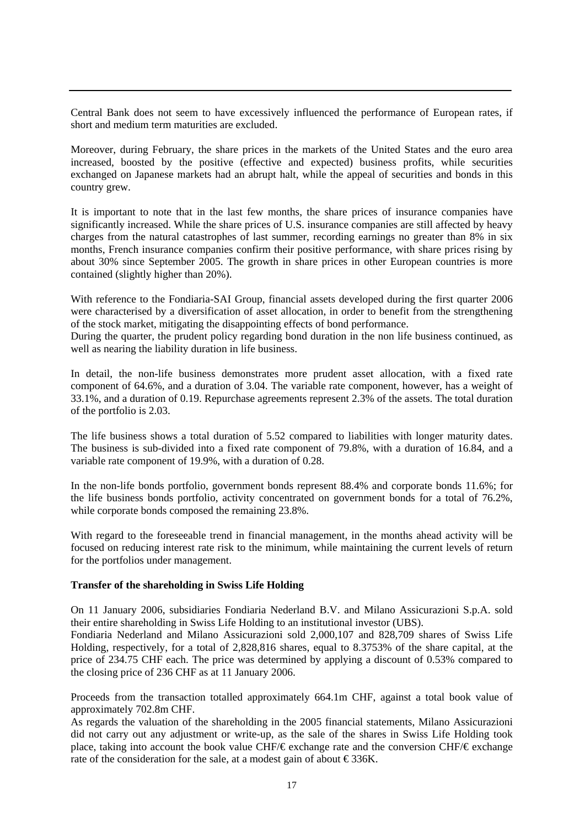Central Bank does not seem to have excessively influenced the performance of European rates, if short and medium term maturities are excluded.

Moreover, during February, the share prices in the markets of the United States and the euro area increased, boosted by the positive (effective and expected) business profits, while securities exchanged on Japanese markets had an abrupt halt, while the appeal of securities and bonds in this country grew.

It is important to note that in the last few months, the share prices of insurance companies have significantly increased. While the share prices of U.S. insurance companies are still affected by heavy charges from the natural catastrophes of last summer, recording earnings no greater than 8% in six months, French insurance companies confirm their positive performance, with share prices rising by about 30% since September 2005. The growth in share prices in other European countries is more contained (slightly higher than 20%).

With reference to the Fondiaria-SAI Group, financial assets developed during the first quarter 2006 were characterised by a diversification of asset allocation, in order to benefit from the strengthening of the stock market, mitigating the disappointing effects of bond performance.

During the quarter, the prudent policy regarding bond duration in the non life business continued, as well as nearing the liability duration in life business.

In detail, the non-life business demonstrates more prudent asset allocation, with a fixed rate component of 64.6%, and a duration of 3.04. The variable rate component, however, has a weight of 33.1%, and a duration of 0.19. Repurchase agreements represent 2.3% of the assets. The total duration of the portfolio is 2.03.

The life business shows a total duration of 5.52 compared to liabilities with longer maturity dates. The business is sub-divided into a fixed rate component of 79.8%, with a duration of 16.84, and a variable rate component of 19.9%, with a duration of 0.28.

In the non-life bonds portfolio, government bonds represent 88.4% and corporate bonds 11.6%; for the life business bonds portfolio, activity concentrated on government bonds for a total of 76.2%, while corporate bonds composed the remaining 23.8%.

With regard to the foreseeable trend in financial management, in the months ahead activity will be focused on reducing interest rate risk to the minimum, while maintaining the current levels of return for the portfolios under management.

#### **Transfer of the shareholding in Swiss Life Holding**

On 11 January 2006, subsidiaries Fondiaria Nederland B.V. and Milano Assicurazioni S.p.A. sold their entire shareholding in Swiss Life Holding to an institutional investor (UBS).

Fondiaria Nederland and Milano Assicurazioni sold 2,000,107 and 828,709 shares of Swiss Life Holding, respectively, for a total of 2,828,816 shares, equal to 8.3753% of the share capital, at the price of 234.75 CHF each. The price was determined by applying a discount of 0.53% compared to the closing price of 236 CHF as at 11 January 2006.

Proceeds from the transaction totalled approximately 664.1m CHF, against a total book value of approximately 702.8m CHF.

As regards the valuation of the shareholding in the 2005 financial statements, Milano Assicurazioni did not carry out any adjustment or write-up, as the sale of the shares in Swiss Life Holding took place, taking into account the book value CHF/€ exchange rate and the conversion CHF/€ exchange rate of the consideration for the sale, at a modest gain of about  $\epsilon$ 336K.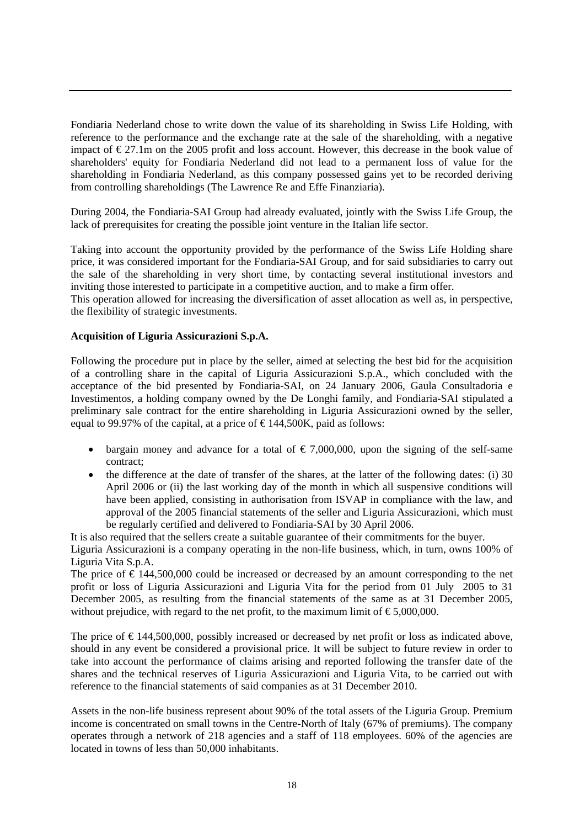Fondiaria Nederland chose to write down the value of its shareholding in Swiss Life Holding, with reference to the performance and the exchange rate at the sale of the shareholding, with a negative impact of  $\epsilon$ 27.1m on the 2005 profit and loss account. However, this decrease in the book value of shareholders' equity for Fondiaria Nederland did not lead to a permanent loss of value for the shareholding in Fondiaria Nederland, as this company possessed gains yet to be recorded deriving from controlling shareholdings (The Lawrence Re and Effe Finanziaria).

During 2004, the Fondiaria-SAI Group had already evaluated, jointly with the Swiss Life Group, the lack of prerequisites for creating the possible joint venture in the Italian life sector.

Taking into account the opportunity provided by the performance of the Swiss Life Holding share price, it was considered important for the Fondiaria-SAI Group, and for said subsidiaries to carry out the sale of the shareholding in very short time, by contacting several institutional investors and inviting those interested to participate in a competitive auction, and to make a firm offer.

This operation allowed for increasing the diversification of asset allocation as well as, in perspective, the flexibility of strategic investments.

#### **Acquisition of Liguria Assicurazioni S.p.A.**

Following the procedure put in place by the seller, aimed at selecting the best bid for the acquisition of a controlling share in the capital of Liguria Assicurazioni S.p.A., which concluded with the acceptance of the bid presented by Fondiaria-SAI, on 24 January 2006, Gaula Consultadoria e Investimentos, a holding company owned by the De Longhi family, and Fondiaria-SAI stipulated a preliminary sale contract for the entire shareholding in Liguria Assicurazioni owned by the seller, equal to 99.97% of the capital, at a price of  $\epsilon$ 144,500K, paid as follows:

- bargain money and advance for a total of  $\epsilon$  7,000,000, upon the signing of the self-same contract;
- the difference at the date of transfer of the shares, at the latter of the following dates: (i) 30 April 2006 or (ii) the last working day of the month in which all suspensive conditions will have been applied, consisting in authorisation from ISVAP in compliance with the law, and approval of the 2005 financial statements of the seller and Liguria Assicurazioni, which must be regularly certified and delivered to Fondiaria-SAI by 30 April 2006.

It is also required that the sellers create a suitable guarantee of their commitments for the buyer.

Liguria Assicurazioni is a company operating in the non-life business, which, in turn, owns 100% of Liguria Vita S.p.A.

The price of  $\epsilon$  144,500,000 could be increased or decreased by an amount corresponding to the net profit or loss of Liguria Assicurazioni and Liguria Vita for the period from 01 July 2005 to 31 December 2005, as resulting from the financial statements of the same as at 31 December 2005, without prejudice, with regard to the net profit, to the maximum limit of  $\epsilon$ 5,000,000.

The price of  $\epsilon$  144,500,000, possibly increased or decreased by net profit or loss as indicated above, should in any event be considered a provisional price. It will be subject to future review in order to take into account the performance of claims arising and reported following the transfer date of the shares and the technical reserves of Liguria Assicurazioni and Liguria Vita, to be carried out with reference to the financial statements of said companies as at 31 December 2010.

Assets in the non-life business represent about 90% of the total assets of the Liguria Group. Premium income is concentrated on small towns in the Centre-North of Italy (67% of premiums). The company operates through a network of 218 agencies and a staff of 118 employees. 60% of the agencies are located in towns of less than 50,000 inhabitants.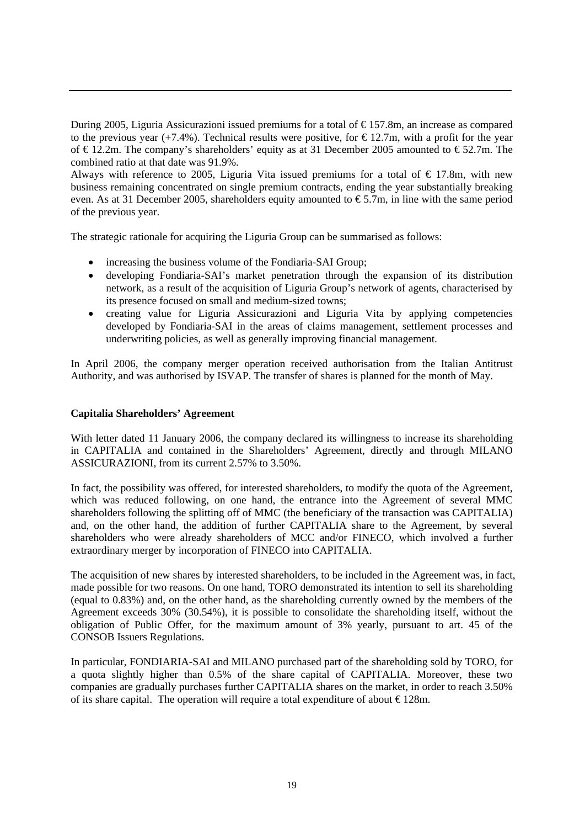During 2005, Liguria Assicurazioni issued premiums for a total of  $\epsilon$ 157.8m, an increase as compared to the previous year (+7.4%). Technical results were positive, for  $\epsilon$ 12.7m, with a profit for the year of €12.2m. The company's shareholders' equity as at 31 December 2005 amounted to €52.7m. The combined ratio at that date was 91.9%.

Always with reference to 2005, Liguria Vita issued premiums for a total of  $\epsilon$  17.8m, with new business remaining concentrated on single premium contracts, ending the year substantially breaking even. As at 31 December 2005, shareholders equity amounted to  $\epsilon$ 5.7m, in line with the same period of the previous year.

The strategic rationale for acquiring the Liguria Group can be summarised as follows:

- increasing the business volume of the Fondiaria-SAI Group;
- developing Fondiaria-SAI's market penetration through the expansion of its distribution network, as a result of the acquisition of Liguria Group's network of agents, characterised by its presence focused on small and medium-sized towns;
- creating value for Liguria Assicurazioni and Liguria Vita by applying competencies developed by Fondiaria-SAI in the areas of claims management, settlement processes and underwriting policies, as well as generally improving financial management.

In April 2006, the company merger operation received authorisation from the Italian Antitrust Authority, and was authorised by ISVAP. The transfer of shares is planned for the month of May.

# **Capitalia Shareholders' Agreement**

With letter dated 11 January 2006, the company declared its willingness to increase its shareholding in CAPITALIA and contained in the Shareholders' Agreement, directly and through MILANO ASSICURAZIONI, from its current 2.57% to 3.50%.

In fact, the possibility was offered, for interested shareholders, to modify the quota of the Agreement, which was reduced following, on one hand, the entrance into the Agreement of several MMC shareholders following the splitting off of MMC (the beneficiary of the transaction was CAPITALIA) and, on the other hand, the addition of further CAPITALIA share to the Agreement, by several shareholders who were already shareholders of MCC and/or FINECO, which involved a further extraordinary merger by incorporation of FINECO into CAPITALIA.

The acquisition of new shares by interested shareholders, to be included in the Agreement was, in fact, made possible for two reasons. On one hand, TORO demonstrated its intention to sell its shareholding (equal to 0.83%) and, on the other hand, as the shareholding currently owned by the members of the Agreement exceeds 30% (30.54%), it is possible to consolidate the shareholding itself, without the obligation of Public Offer, for the maximum amount of 3% yearly, pursuant to art. 45 of the CONSOB Issuers Regulations.

In particular, FONDIARIA-SAI and MILANO purchased part of the shareholding sold by TORO, for a quota slightly higher than 0.5% of the share capital of CAPITALIA. Moreover, these two companies are gradually purchases further CAPITALIA shares on the market, in order to reach 3.50% of its share capital. The operation will require a total expenditure of about  $\epsilon$ 128m.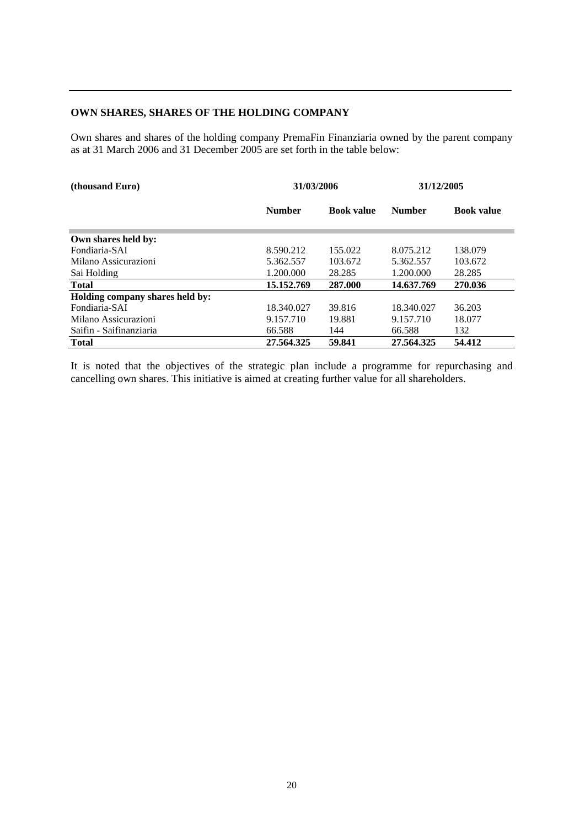#### **OWN SHARES, SHARES OF THE HOLDING COMPANY**

Own shares and shares of the holding company PremaFin Finanziaria owned by the parent company as at 31 March 2006 and 31 December 2005 are set forth in the table below:

| (thousand Euro)                 | 31/03/2006                         |         | 31/12/2005    |                   |
|---------------------------------|------------------------------------|---------|---------------|-------------------|
|                                 | <b>Number</b><br><b>Book value</b> |         | <b>Number</b> | <b>Book value</b> |
| Own shares held by:             |                                    |         |               |                   |
| Fondiaria-SAI                   | 8.590.212                          | 155.022 | 8.075.212     | 138.079           |
| Milano Assicurazioni            | 5.362.557                          | 103.672 | 5.362.557     | 103.672           |
| Sai Holding                     | 1.200.000                          | 28.285  | 1.200.000     | 28.285            |
| <b>Total</b>                    | 15.152.769                         | 287.000 | 14.637.769    | 270.036           |
| Holding company shares held by: |                                    |         |               |                   |
| Fondiaria-SAI                   | 18.340.027                         | 39.816  | 18.340.027    | 36.203            |
| Milano Assicurazioni            | 9.157.710                          | 19.881  | 9.157.710     | 18.077            |
| Saifin - Saifinanziaria         | 66.588                             | 144     | 66.588        | 132               |
| <b>Total</b>                    | 27.564.325                         | 59.841  | 27.564.325    | 54.412            |

It is noted that the objectives of the strategic plan include a programme for repurchasing and cancelling own shares. This initiative is aimed at creating further value for all shareholders.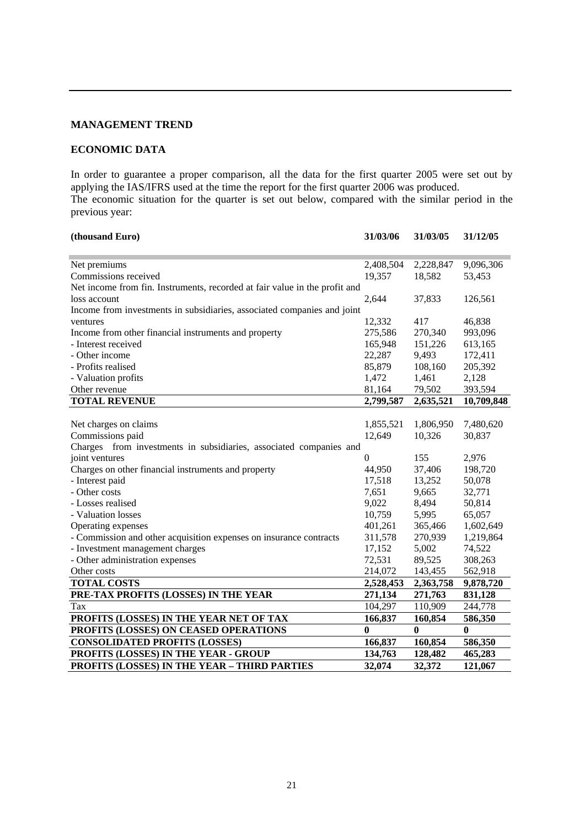# **MANAGEMENT TREND**

# **ECONOMIC DATA**

In order to guarantee a proper comparison, all the data for the first quarter 2005 were set out by applying the IAS/IFRS used at the time the report for the first quarter 2006 was produced. The economic situation for the quarter is set out below, compared with the similar period in the previous year:

| (thousand Euro)                                                            | 31/03/06     | 31/03/05  | 31/12/05   |
|----------------------------------------------------------------------------|--------------|-----------|------------|
| Net premiums                                                               | 2,408,504    | 2,228,847 | 9,096,306  |
| Commissions received                                                       | 19,357       | 18,582    | 53,453     |
| Net income from fin. Instruments, recorded at fair value in the profit and |              |           |            |
| loss account                                                               | 2,644        | 37,833    | 126,561    |
| Income from investments in subsidiaries, associated companies and joint    |              |           |            |
| ventures                                                                   | 12,332       | 417       | 46,838     |
| Income from other financial instruments and property                       | 275,586      | 270,340   | 993,096    |
| - Interest received                                                        | 165,948      | 151,226   | 613,165    |
| - Other income                                                             | 22,287       | 9,493     | 172,411    |
| - Profits realised                                                         | 85,879       | 108,160   | 205,392    |
| - Valuation profits                                                        | 1,472        | 1,461     | 2,128      |
| Other revenue                                                              | 81,164       | 79,502    | 393,594    |
| <b>TOTAL REVENUE</b>                                                       | 2,799,587    | 2,635,521 | 10,709,848 |
|                                                                            |              |           |            |
| Net charges on claims                                                      | 1,855,521    | 1,806,950 | 7,480,620  |
| Commissions paid                                                           | 12,649       | 10,326    | 30,837     |
| Charges from investments in subsidiaries, associated companies and         |              |           |            |
| joint ventures                                                             | $\Omega$     | 155       | 2,976      |
| Charges on other financial instruments and property                        | 44,950       | 37,406    | 198,720    |
| - Interest paid                                                            | 17,518       | 13,252    | 50,078     |
| - Other costs                                                              | 7,651        | 9,665     | 32,771     |
| - Losses realised                                                          | 9,022        | 8,494     | 50,814     |
| - Valuation losses                                                         | 10,759       | 5,995     | 65,057     |
| Operating expenses                                                         | 401,261      | 365,466   | 1,602,649  |
| - Commission and other acquisition expenses on insurance contracts         | 311,578      | 270,939   | 1,219,864  |
| - Investment management charges                                            | 17,152       | 5,002     | 74,522     |
| - Other administration expenses                                            | 72,531       | 89,525    | 308,263    |
| Other costs                                                                | 214,072      | 143,455   | 562,918    |
| <b>TOTAL COSTS</b>                                                         | 2,528,453    | 2,363,758 | 9,878,720  |
| PRE-TAX PROFITS (LOSSES) IN THE YEAR                                       | 271,134      | 271,763   | 831,128    |
| Tax                                                                        | 104,297      | 110,909   | 244,778    |
| PROFITS (LOSSES) IN THE YEAR NET OF TAX                                    | 166,837      | 160,854   | 586,350    |
| PROFITS (LOSSES) ON CEASED OPERATIONS                                      | $\mathbf{0}$ | $\bf{0}$  | 0          |
| <b>CONSOLIDATED PROFITS (LOSSES)</b>                                       | 166,837      | 160,854   | 586,350    |
| PROFITS (LOSSES) IN THE YEAR - GROUP                                       | 134,763      | 128,482   | 465,283    |
| PROFITS (LOSSES) IN THE YEAR - THIRD PARTIES                               | 32,074       | 32,372    | 121,067    |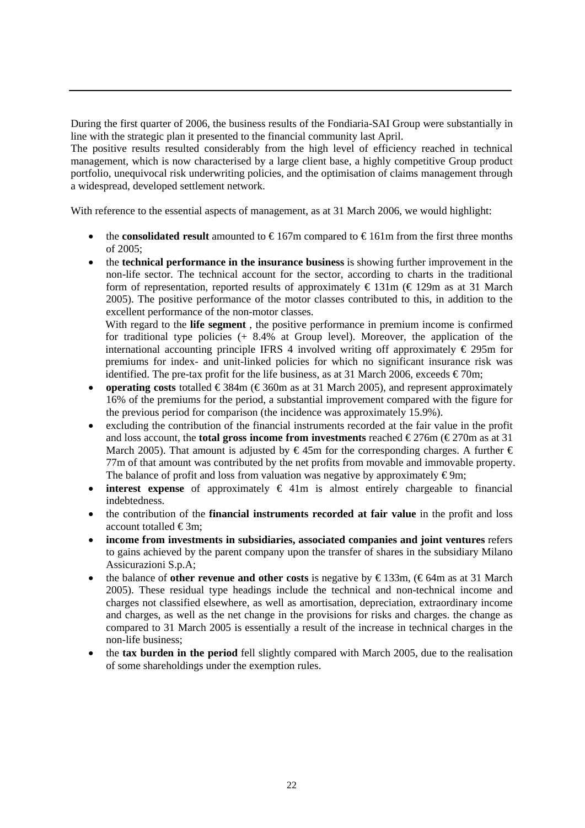During the first quarter of 2006, the business results of the Fondiaria-SAI Group were substantially in line with the strategic plan it presented to the financial community last April.

The positive results resulted considerably from the high level of efficiency reached in technical management, which is now characterised by a large client base, a highly competitive Group product portfolio, unequivocal risk underwriting policies, and the optimisation of claims management through a widespread, developed settlement network.

With reference to the essential aspects of management, as at 31 March 2006, we would highlight:

- the **consolidated result** amounted to  $\epsilon$ 167m compared to  $\epsilon$ 161m from the first three months of 2005;
- the **technical performance in the insurance business** is showing further improvement in the non-life sector. The technical account for the sector, according to charts in the traditional form of representation, reported results of approximately  $\epsilon$  131m ( $\epsilon$  129m as at 31 March 2005). The positive performance of the motor classes contributed to this, in addition to the excellent performance of the non-motor classes.

With regard to the **life segment** , the positive performance in premium income is confirmed for traditional type policies (+ 8.4% at Group level). Moreover, the application of the international accounting principle IFRS 4 involved writing off approximately  $\epsilon$  295m for premiums for index- and unit-linked policies for which no significant insurance risk was identified. The pre-tax profit for the life business, as at 31 March 2006, exceeds  $\epsilon$ 70m;

- **operating costs** totalled €384m (€360m as at 31 March 2005), and represent approximately 16% of the premiums for the period, a substantial improvement compared with the figure for the previous period for comparison (the incidence was approximately 15.9%).
- excluding the contribution of the financial instruments recorded at the fair value in the profit and loss account, the **total gross income from investments** reached  $\epsilon$ 276m ( $\epsilon$ 270m as at 31 March 2005). That amount is adjusted by  $\in$  45m for the corresponding charges. A further  $\in$ 77m of that amount was contributed by the net profits from movable and immovable property. The balance of profit and loss from valuation was negative by approximately  $\epsilon$ 9m;
- **interest expense** of approximately  $\in$  41m is almost entirely chargeable to financial indebtedness.
- the contribution of the **financial instruments recorded at fair value** in the profit and loss account totalled  $\epsilon$ 3m;
- **income from investments in subsidiaries, associated companies and joint ventures** refers to gains achieved by the parent company upon the transfer of shares in the subsidiary Milano Assicurazioni S.p.A;
- the balance of **other revenue and other costs** is negative by € 133m, (€ 64m as at 31 March 2005). These residual type headings include the technical and non-technical income and charges not classified elsewhere, as well as amortisation, depreciation, extraordinary income and charges, as well as the net change in the provisions for risks and charges. the change as compared to 31 March 2005 is essentially a result of the increase in technical charges in the non-life business;
- the **tax burden in the period** fell slightly compared with March 2005, due to the realisation of some shareholdings under the exemption rules.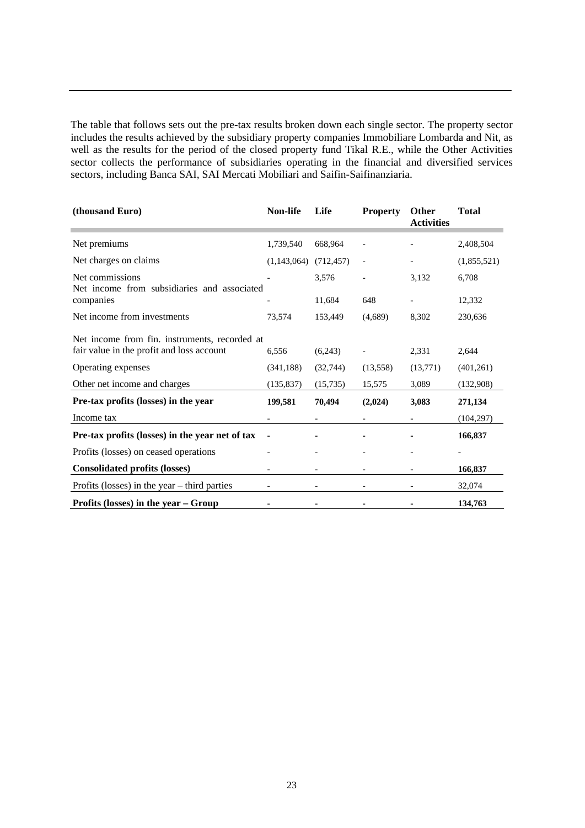The table that follows sets out the pre-tax results broken down each single sector. The property sector includes the results achieved by the subsidiary property companies Immobiliare Lombarda and Nit, as well as the results for the period of the closed property fund Tikal R.E., while the Other Activities sector collects the performance of subsidiaries operating in the financial and diversified services sectors, including Banca SAI, SAI Mercati Mobiliari and Saifin-Saifinanziaria.

| (thousand Euro)                                                                            | <b>Non-life</b> | Life       | <b>Property</b>          | Other<br><b>Activities</b> | <b>Total</b> |
|--------------------------------------------------------------------------------------------|-----------------|------------|--------------------------|----------------------------|--------------|
| Net premiums                                                                               | 1,739,540       | 668,964    |                          |                            | 2,408,504    |
| Net charges on claims                                                                      | (1,143,064)     | (712, 457) | $\overline{\phantom{0}}$ |                            | (1,855,521)  |
| Net commissions<br>Net income from subsidiaries and associated                             |                 | 3,576      |                          | 3,132                      | 6,708        |
| companies                                                                                  |                 | 11,684     | 648                      |                            | 12,332       |
| Net income from investments                                                                | 73,574          | 153,449    | (4,689)                  | 8,302                      | 230,636      |
| Net income from fin. instruments, recorded at<br>fair value in the profit and loss account | 6,556           | (6,243)    |                          | 2,331                      | 2,644        |
| Operating expenses                                                                         | (341, 188)      | (32, 744)  | (13, 558)                | (13, 771)                  | (401, 261)   |
| Other net income and charges                                                               | (135, 837)      | (15,735)   | 15,575                   | 3,089                      | (132,908)    |
| Pre-tax profits (losses) in the year                                                       | 199,581         | 70,494     | (2,024)                  | 3,083                      | 271,134      |
| Income tax                                                                                 |                 |            |                          |                            | (104, 297)   |
| Pre-tax profits (losses) in the year net of tax                                            |                 |            |                          |                            | 166,837      |
| Profits (losses) on ceased operations                                                      |                 |            |                          |                            |              |
| <b>Consolidated profits (losses)</b>                                                       |                 |            |                          |                            | 166,837      |
| Profits (losses) in the year $-$ third parties                                             |                 |            |                          |                            | 32,074       |
| Profits (losses) in the year $-$ Group                                                     |                 |            |                          |                            | 134,763      |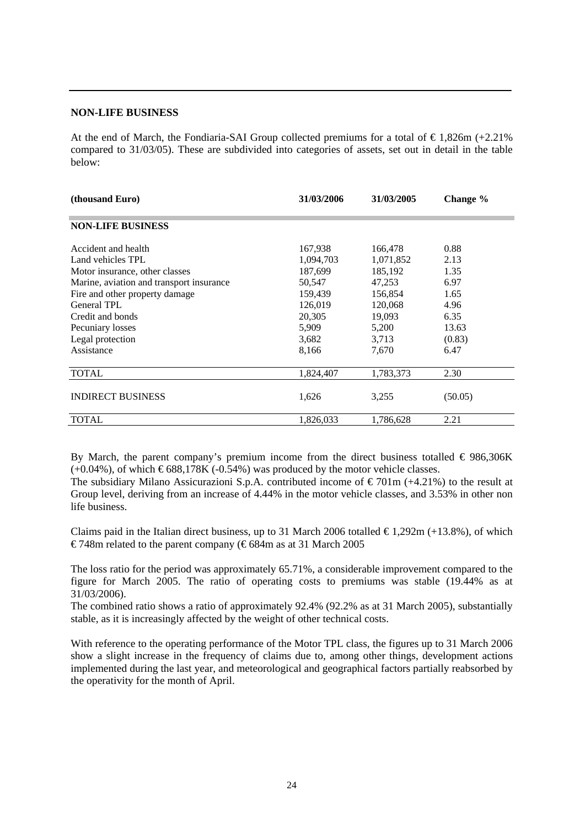#### **NON-LIFE BUSINESS**

At the end of March, the Fondiaria-SAI Group collected premiums for a total of  $\epsilon$ 1,826m (+2.21%) compared to 31/03/05). These are subdivided into categories of assets, set out in detail in the table below:

| (thousand Euro)                          | 31/03/2006 | 31/03/2005 | Change % |
|------------------------------------------|------------|------------|----------|
| <b>NON-LIFE BUSINESS</b>                 |            |            |          |
| Accident and health                      | 167,938    | 166,478    | 0.88     |
| Land vehicles TPL                        | 1,094,703  | 1,071,852  | 2.13     |
| Motor insurance, other classes           | 187,699    | 185,192    | 1.35     |
| Marine, aviation and transport insurance | 50,547     | 47,253     | 6.97     |
| Fire and other property damage           | 159,439    | 156,854    | 1.65     |
| <b>General TPL</b>                       | 126,019    | 120,068    | 4.96     |
| Credit and bonds                         | 20,305     | 19,093     | 6.35     |
| Pecuniary losses                         | 5,909      | 5,200      | 13.63    |
| Legal protection                         | 3,682      | 3,713      | (0.83)   |
| Assistance                               | 8,166      | 7,670      | 6.47     |
| <b>TOTAL</b>                             | 1,824,407  | 1,783,373  | 2.30     |
| <b>INDIRECT BUSINESS</b>                 | 1,626      | 3,255      | (50.05)  |
| <b>TOTAL</b>                             | 1,826,033  | 1,786,628  | 2.21     |

By March, the parent company's premium income from the direct business totalled  $\in$  986,306K  $(+0.04\%)$ , of which  $\epsilon$ 688.178K (-0.54%) was produced by the motor vehicle classes.

The subsidiary Milano Assicurazioni S.p.A. contributed income of  $\epsilon$ 701m (+4.21%) to the result at Group level, deriving from an increase of 4.44% in the motor vehicle classes, and 3.53% in other non life business.

Claims paid in the Italian direct business, up to 31 March 2006 totalled  $\epsilon$ 1,292m (+13.8%), of which €748m related to the parent company (€684m as at 31 March 2005

The loss ratio for the period was approximately 65.71%, a considerable improvement compared to the figure for March 2005. The ratio of operating costs to premiums was stable (19.44% as at 31/03/2006).

The combined ratio shows a ratio of approximately 92.4% (92.2% as at 31 March 2005), substantially stable, as it is increasingly affected by the weight of other technical costs.

With reference to the operating performance of the Motor TPL class, the figures up to 31 March 2006 show a slight increase in the frequency of claims due to, among other things, development actions implemented during the last year, and meteorological and geographical factors partially reabsorbed by the operativity for the month of April.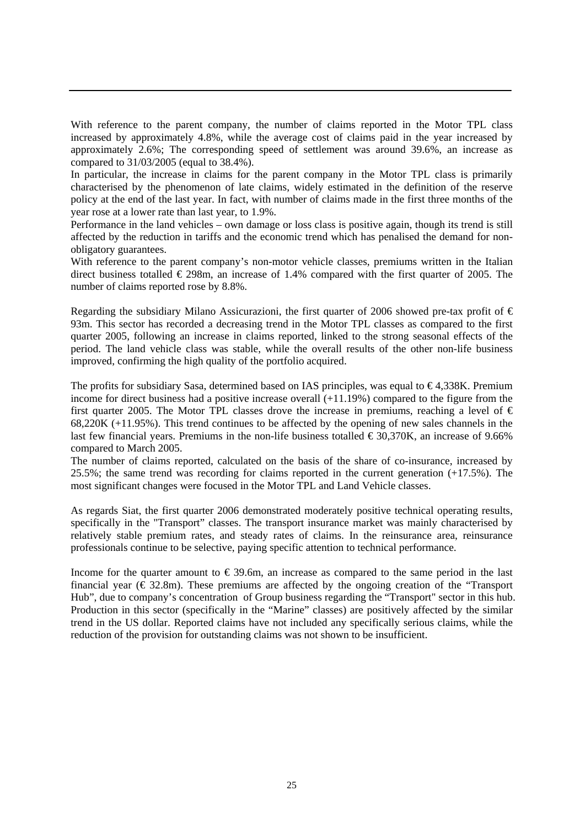With reference to the parent company, the number of claims reported in the Motor TPL class increased by approximately 4.8%, while the average cost of claims paid in the year increased by approximately 2.6%; The corresponding speed of settlement was around 39.6%, an increase as compared to 31/03/2005 (equal to 38.4%).

In particular, the increase in claims for the parent company in the Motor TPL class is primarily characterised by the phenomenon of late claims, widely estimated in the definition of the reserve policy at the end of the last year. In fact, with number of claims made in the first three months of the year rose at a lower rate than last year, to 1.9%.

Performance in the land vehicles – own damage or loss class is positive again, though its trend is still affected by the reduction in tariffs and the economic trend which has penalised the demand for nonobligatory guarantees.

With reference to the parent company's non-motor vehicle classes, premiums written in the Italian direct business totalled  $\epsilon$  298m, an increase of 1.4% compared with the first quarter of 2005. The number of claims reported rose by 8.8%.

Regarding the subsidiary Milano Assicurazioni, the first quarter of 2006 showed pre-tax profit of  $\epsilon$ 93m. This sector has recorded a decreasing trend in the Motor TPL classes as compared to the first quarter 2005, following an increase in claims reported, linked to the strong seasonal effects of the period. The land vehicle class was stable, while the overall results of the other non-life business improved, confirming the high quality of the portfolio acquired.

The profits for subsidiary Sasa, determined based on IAS principles, was equal to  $\epsilon$ 4,338K. Premium income for direct business had a positive increase overall (+11.19%) compared to the figure from the first quarter 2005. The Motor TPL classes drove the increase in premiums, reaching a level of  $\epsilon$ 68,220K (+11.95%). This trend continues to be affected by the opening of new sales channels in the last few financial years. Premiums in the non-life business totalled  $\epsilon$ 30,370K, an increase of 9.66% compared to March 2005.

The number of claims reported, calculated on the basis of the share of co-insurance, increased by 25.5%; the same trend was recording for claims reported in the current generation (+17.5%). The most significant changes were focused in the Motor TPL and Land Vehicle classes.

As regards Siat, the first quarter 2006 demonstrated moderately positive technical operating results, specifically in the "Transport" classes. The transport insurance market was mainly characterised by relatively stable premium rates, and steady rates of claims. In the reinsurance area, reinsurance professionals continue to be selective, paying specific attention to technical performance.

Income for the quarter amount to  $\epsilon$  39.6m, an increase as compared to the same period in the last financial year ( $\epsilon$ 32.8m). These premiums are affected by the ongoing creation of the "Transport" Hub", due to company's concentration of Group business regarding the "Transport" sector in this hub. Production in this sector (specifically in the "Marine" classes) are positively affected by the similar trend in the US dollar. Reported claims have not included any specifically serious claims, while the reduction of the provision for outstanding claims was not shown to be insufficient.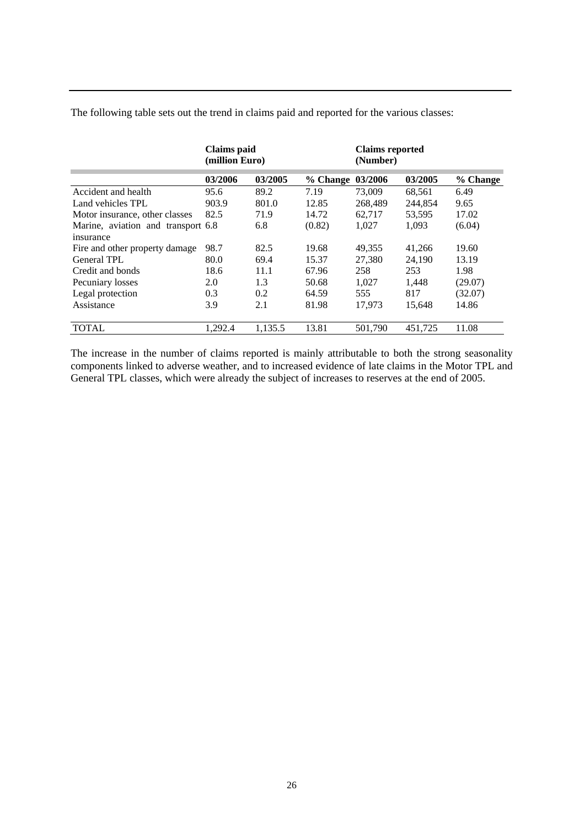|  |  |  | The following table sets out the trend in claims paid and reported for the various classes: |
|--|--|--|---------------------------------------------------------------------------------------------|
|  |  |  |                                                                                             |
|  |  |  |                                                                                             |

|                                    | <b>Claims</b> paid<br>(million Euro) |         | <b>Claims reported</b><br>(Number) |         |         |          |
|------------------------------------|--------------------------------------|---------|------------------------------------|---------|---------|----------|
|                                    | 03/2006                              | 03/2005 | % Change 03/2006                   |         | 03/2005 | % Change |
| Accident and health                | 95.6                                 | 89.2    | 7.19                               | 73,009  | 68,561  | 6.49     |
| Land vehicles TPL                  | 903.9                                | 801.0   | 12.85                              | 268,489 | 244,854 | 9.65     |
| Motor insurance, other classes     | 82.5                                 | 71.9    | 14.72                              | 62,717  | 53,595  | 17.02    |
| Marine, aviation and transport 6.8 |                                      | 6.8     | (0.82)                             | 1,027   | 1.093   | (6.04)   |
| insurance                          |                                      |         |                                    |         |         |          |
| Fire and other property damage     | 98.7                                 | 82.5    | 19.68                              | 49,355  | 41,266  | 19.60    |
| General TPL                        | 80.0                                 | 69.4    | 15.37                              | 27,380  | 24,190  | 13.19    |
| Credit and bonds                   | 18.6                                 | 11.1    | 67.96                              | 258     | 253     | 1.98     |
| Pecuniary losses                   | 2.0                                  | 1.3     | 50.68                              | 1,027   | 1,448   | (29.07)  |
| Legal protection                   | 0.3                                  | 0.2     | 64.59                              | 555     | 817     | (32.07)  |
| Assistance                         | 3.9                                  | 2.1     | 81.98                              | 17,973  | 15,648  | 14.86    |
| <b>TOTAL</b>                       | 1.292.4                              | 1,135.5 | 13.81                              | 501,790 | 451,725 | 11.08    |

The increase in the number of claims reported is mainly attributable to both the strong seasonality components linked to adverse weather, and to increased evidence of late claims in the Motor TPL and General TPL classes, which were already the subject of increases to reserves at the end of 2005.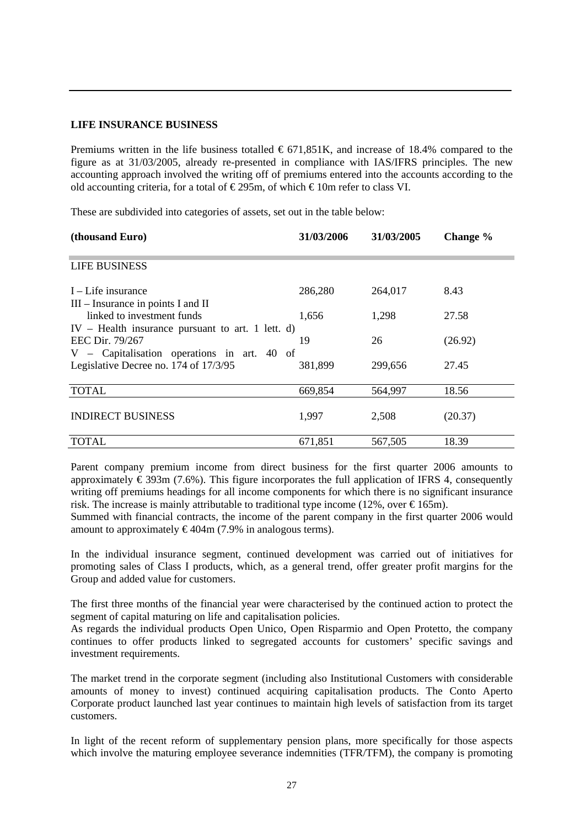### **LIFE INSURANCE BUSINESS**

Premiums written in the life business totalled  $\epsilon$  671,851K, and increase of 18.4% compared to the figure as at 31/03/2005, already re-presented in compliance with IAS/IFRS principles. The new accounting approach involved the writing off of premiums entered into the accounts according to the old accounting criteria, for a total of  $\epsilon$ 295m, of which  $\epsilon$ 10m refer to class VI.

These are subdivided into categories of assets, set out in the table below:

| (thousand Euro)                                                                   | 31/03/2006 | 31/03/2005 | Change % |
|-----------------------------------------------------------------------------------|------------|------------|----------|
| <b>LIFE BUSINESS</b>                                                              |            |            |          |
| $I$ – Life insurance<br>$III$ – Insurance in points I and II                      | 286,280    | 264,017    | 8.43     |
| linked to investment funds<br>$IV$ – Health insurance pursuant to art. 1 lett. d) | 1,656      | 1,298      | 27.58    |
| EEC Dir. 79/267<br>V – Capitalisation operations in art. 40 of                    | 19         | 26         | (26.92)  |
| Legislative Decree no. 174 of 17/3/95                                             | 381,899    | 299,656    | 27.45    |
| <b>TOTAL</b>                                                                      | 669,854    | 564,997    | 18.56    |
| <b>INDIRECT BUSINESS</b>                                                          | 1,997      | 2,508      | (20.37)  |
| TOTAL                                                                             | 671,851    | 567,505    | 18.39    |

Parent company premium income from direct business for the first quarter 2006 amounts to approximately  $\epsilon$  393m (7.6%). This figure incorporates the full application of IFRS 4, consequently writing off premiums headings for all income components for which there is no significant insurance risk. The increase is mainly attributable to traditional type income (12%, over  $\epsilon$ 165m).

Summed with financial contracts, the income of the parent company in the first quarter 2006 would amount to approximately  $\epsilon$ 404m (7.9% in analogous terms).

In the individual insurance segment, continued development was carried out of initiatives for promoting sales of Class I products, which, as a general trend, offer greater profit margins for the Group and added value for customers.

The first three months of the financial year were characterised by the continued action to protect the segment of capital maturing on life and capitalisation policies.

As regards the individual products Open Unico, Open Risparmio and Open Protetto, the company continues to offer products linked to segregated accounts for customers' specific savings and investment requirements.

The market trend in the corporate segment (including also Institutional Customers with considerable amounts of money to invest) continued acquiring capitalisation products. The Conto Aperto Corporate product launched last year continues to maintain high levels of satisfaction from its target customers.

In light of the recent reform of supplementary pension plans, more specifically for those aspects which involve the maturing employee severance indemnities (TFR/TFM), the company is promoting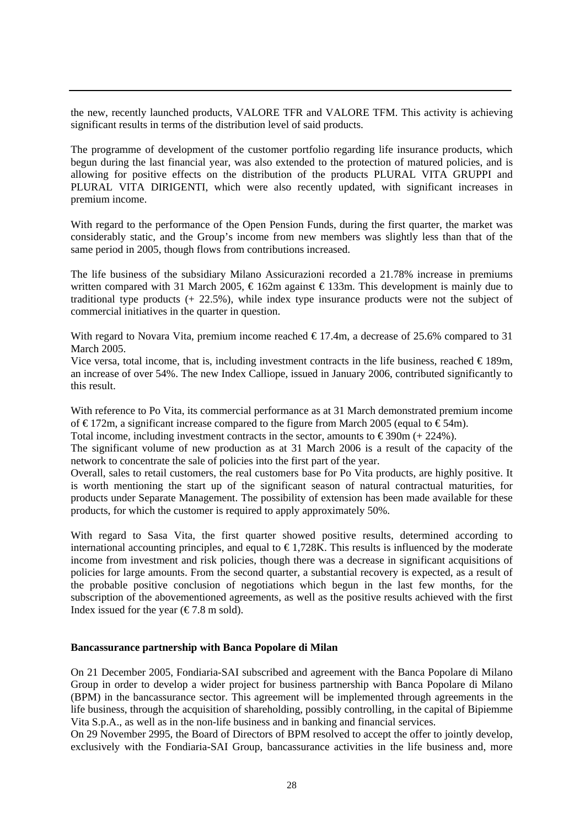the new, recently launched products, VALORE TFR and VALORE TFM. This activity is achieving significant results in terms of the distribution level of said products.

The programme of development of the customer portfolio regarding life insurance products, which begun during the last financial year, was also extended to the protection of matured policies, and is allowing for positive effects on the distribution of the products PLURAL VITA GRUPPI and PLURAL VITA DIRIGENTI, which were also recently updated, with significant increases in premium income.

With regard to the performance of the Open Pension Funds, during the first quarter, the market was considerably static, and the Group's income from new members was slightly less than that of the same period in 2005, though flows from contributions increased.

The life business of the subsidiary Milano Assicurazioni recorded a 21.78% increase in premiums written compared with 31 March 2005,  $\epsilon$ 162m against  $\epsilon$ 133m. This development is mainly due to traditional type products (+ 22.5%), while index type insurance products were not the subject of commercial initiatives in the quarter in question.

With regard to Novara Vita, premium income reached  $\epsilon$  17.4m, a decrease of 25.6% compared to 31 March 2005.

Vice versa, total income, that is, including investment contracts in the life business, reached  $\in$  189m, an increase of over 54%. The new Index Calliope, issued in January 2006, contributed significantly to this result.

With reference to Po Vita, its commercial performance as at 31 March demonstrated premium income of  $\epsilon$ 172m, a significant increase compared to the figure from March 2005 (equal to  $\epsilon$ 54m).

Total income, including investment contracts in the sector, amounts to  $\epsilon$ 390m (+ 224%).

The significant volume of new production as at 31 March 2006 is a result of the capacity of the network to concentrate the sale of policies into the first part of the year.

Overall, sales to retail customers, the real customers base for Po Vita products, are highly positive. It is worth mentioning the start up of the significant season of natural contractual maturities, for products under Separate Management. The possibility of extension has been made available for these products, for which the customer is required to apply approximately 50%.

With regard to Sasa Vita, the first quarter showed positive results, determined according to international accounting principles, and equal to  $\epsilon$ 1,728K. This results is influenced by the moderate income from investment and risk policies, though there was a decrease in significant acquisitions of policies for large amounts. From the second quarter, a substantial recovery is expected, as a result of the probable positive conclusion of negotiations which begun in the last few months, for the subscription of the abovementioned agreements, as well as the positive results achieved with the first Index issued for the year ( $\epsilon$ 7.8 m sold).

#### **Bancassurance partnership with Banca Popolare di Milan**

On 21 December 2005, Fondiaria-SAI subscribed and agreement with the Banca Popolare di Milano Group in order to develop a wider project for business partnership with Banca Popolare di Milano (BPM) in the bancassurance sector. This agreement will be implemented through agreements in the life business, through the acquisition of shareholding, possibly controlling, in the capital of Bipiemme Vita S.p.A., as well as in the non-life business and in banking and financial services.

On 29 November 2995, the Board of Directors of BPM resolved to accept the offer to jointly develop, exclusively with the Fondiaria-SAI Group, bancassurance activities in the life business and, more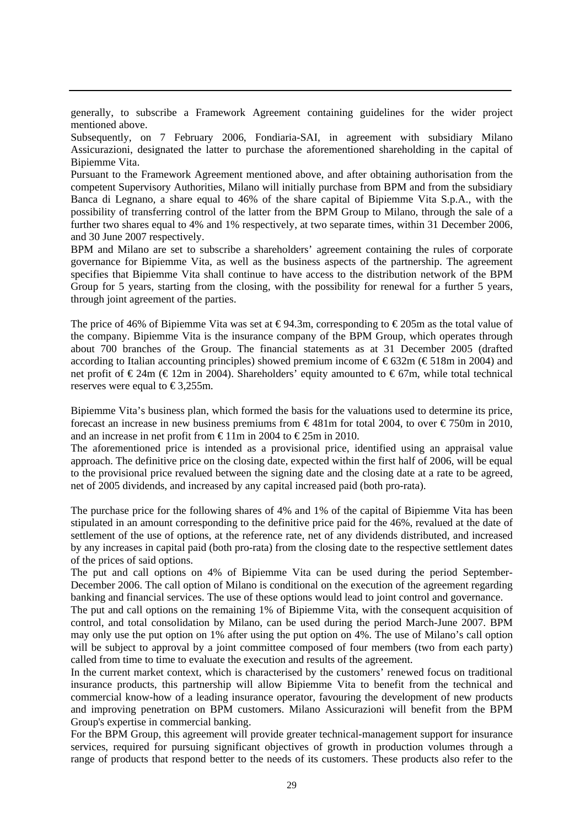generally, to subscribe a Framework Agreement containing guidelines for the wider project mentioned above.

Subsequently, on 7 February 2006, Fondiaria-SAI, in agreement with subsidiary Milano Assicurazioni, designated the latter to purchase the aforementioned shareholding in the capital of Bipiemme Vita.

Pursuant to the Framework Agreement mentioned above, and after obtaining authorisation from the competent Supervisory Authorities, Milano will initially purchase from BPM and from the subsidiary Banca di Legnano, a share equal to 46% of the share capital of Bipiemme Vita S.p.A., with the possibility of transferring control of the latter from the BPM Group to Milano, through the sale of a further two shares equal to 4% and 1% respectively, at two separate times, within 31 December 2006, and 30 June 2007 respectively.

BPM and Milano are set to subscribe a shareholders' agreement containing the rules of corporate governance for Bipiemme Vita, as well as the business aspects of the partnership. The agreement specifies that Bipiemme Vita shall continue to have access to the distribution network of the BPM Group for 5 years, starting from the closing, with the possibility for renewal for a further 5 years, through joint agreement of the parties.

The price of 46% of Bipiemme Vita was set at  $\epsilon$ 94.3m, corresponding to  $\epsilon$ 205m as the total value of the company. Bipiemme Vita is the insurance company of the BPM Group, which operates through about 700 branches of the Group. The financial statements as at 31 December 2005 (drafted according to Italian accounting principles) showed premium income of  $\epsilon$ 632m ( $\epsilon$ 518m in 2004) and net profit of  $\epsilon$ 24m ( $\epsilon$ 12m in 2004). Shareholders' equity amounted to  $\epsilon$ 67m, while total technical reserves were equal to  $\text{\textsterling}3.255m$ .

Bipiemme Vita's business plan, which formed the basis for the valuations used to determine its price, forecast an increase in new business premiums from  $\epsilon$ 481m for total 2004, to over  $\epsilon$ 750m in 2010, and an increase in net profit from  $\text{\textsterling}11m$  in 2004 to  $\text{\textsterling}25m$  in 2010.

The aforementioned price is intended as a provisional price, identified using an appraisal value approach. The definitive price on the closing date, expected within the first half of 2006, will be equal to the provisional price revalued between the signing date and the closing date at a rate to be agreed, net of 2005 dividends, and increased by any capital increased paid (both pro-rata).

The purchase price for the following shares of 4% and 1% of the capital of Bipiemme Vita has been stipulated in an amount corresponding to the definitive price paid for the 46%, revalued at the date of settlement of the use of options, at the reference rate, net of any dividends distributed, and increased by any increases in capital paid (both pro-rata) from the closing date to the respective settlement dates of the prices of said options.

The put and call options on 4% of Bipiemme Vita can be used during the period September-December 2006. The call option of Milano is conditional on the execution of the agreement regarding banking and financial services. The use of these options would lead to joint control and governance.

The put and call options on the remaining 1% of Bipiemme Vita, with the consequent acquisition of control, and total consolidation by Milano, can be used during the period March-June 2007. BPM may only use the put option on 1% after using the put option on 4%. The use of Milano's call option will be subject to approval by a joint committee composed of four members (two from each party) called from time to time to evaluate the execution and results of the agreement.

In the current market context, which is characterised by the customers' renewed focus on traditional insurance products, this partnership will allow Bipiemme Vita to benefit from the technical and commercial know-how of a leading insurance operator, favouring the development of new products and improving penetration on BPM customers. Milano Assicurazioni will benefit from the BPM Group's expertise in commercial banking.

For the BPM Group, this agreement will provide greater technical-management support for insurance services, required for pursuing significant objectives of growth in production volumes through a range of products that respond better to the needs of its customers. These products also refer to the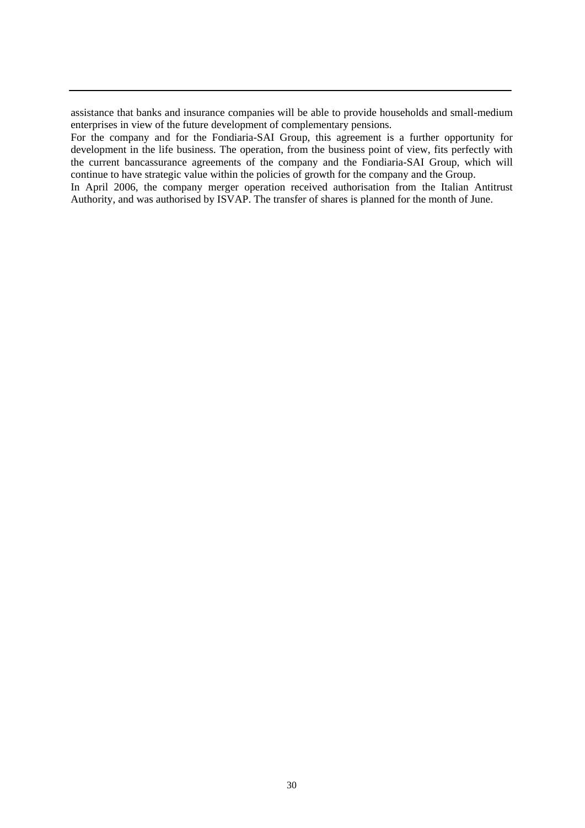assistance that banks and insurance companies will be able to provide households and small-medium enterprises in view of the future development of complementary pensions.

For the company and for the Fondiaria-SAI Group, this agreement is a further opportunity for development in the life business. The operation, from the business point of view, fits perfectly with the current bancassurance agreements of the company and the Fondiaria-SAI Group, which will continue to have strategic value within the policies of growth for the company and the Group.

In April 2006, the company merger operation received authorisation from the Italian Antitrust Authority, and was authorised by ISVAP. The transfer of shares is planned for the month of June.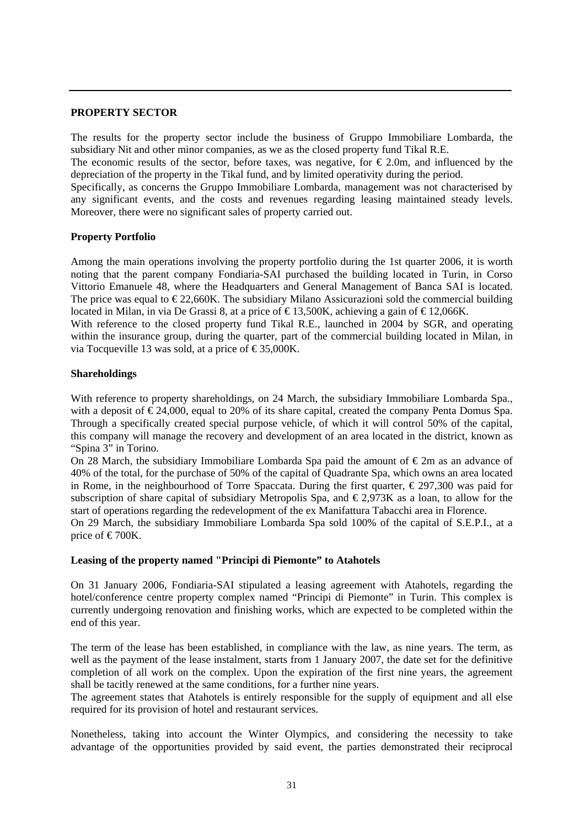#### **PROPERTY SECTOR**

The results for the property sector include the business of Gruppo Immobiliare Lombarda, the subsidiary Nit and other minor companies, as we as the closed property fund Tikal R.E.

The economic results of the sector, before taxes, was negative, for  $\epsilon$  2.0m, and influenced by the depreciation of the property in the Tikal fund, and by limited operativity during the period.

Specifically, as concerns the Gruppo Immobiliare Lombarda, management was not characterised by any significant events, and the costs and revenues regarding leasing maintained steady levels. Moreover, there were no significant sales of property carried out.

## **Property Portfolio**

Among the main operations involving the property portfolio during the 1st quarter 2006, it is worth noting that the parent company Fondiaria-SAI purchased the building located in Turin, in Corso Vittorio Emanuele 48, where the Headquarters and General Management of Banca SAI is located. The price was equal to  $\epsilon$ 22,660K. The subsidiary Milano Assicurazioni sold the commercial building located in Milan, in via De Grassi 8, at a price of  $\in$  13,500K, achieving a gain of  $\in$  12,066K.

With reference to the closed property fund Tikal R.E., launched in 2004 by SGR, and operating within the insurance group, during the quarter, part of the commercial building located in Milan, in via Tocqueville 13 was sold, at a price of  $\epsilon$ 35,000K.

#### **Shareholdings**

With reference to property shareholdings, on 24 March, the subsidiary Immobiliare Lombarda Spa., with a deposit of  $\epsilon$ 24,000, equal to 20% of its share capital, created the company Penta Domus Spa. Through a specifically created special purpose vehicle, of which it will control 50% of the capital, this company will manage the recovery and development of an area located in the district, known as "Spina 3" in Torino.

On 28 March, the subsidiary Immobiliare Lombarda Spa paid the amount of  $\epsilon$ 2m as an advance of 40% of the total, for the purchase of 50% of the capital of Quadrante Spa, which owns an area located in Rome, in the neighbourhood of Torre Spaccata. During the first quarter,  $\epsilon$  297,300 was paid for subscription of share capital of subsidiary Metropolis Spa, and  $\epsilon$ 2,973K as a loan, to allow for the start of operations regarding the redevelopment of the ex Manifattura Tabacchi area in Florence.

On 29 March, the subsidiary Immobiliare Lombarda Spa sold 100% of the capital of S.E.P.I., at a price of  $\in 700K$ .

#### **Leasing of the property named "Principi di Piemonte" to Atahotels**

On 31 January 2006, Fondiaria-SAI stipulated a leasing agreement with Atahotels, regarding the hotel/conference centre property complex named "Principi di Piemonte" in Turin. This complex is currently undergoing renovation and finishing works, which are expected to be completed within the end of this year.

The term of the lease has been established, in compliance with the law, as nine years. The term, as well as the payment of the lease instalment, starts from 1 January 2007, the date set for the definitive completion of all work on the complex. Upon the expiration of the first nine years, the agreement shall be tacitly renewed at the same conditions, for a further nine years.

The agreement states that Atahotels is entirely responsible for the supply of equipment and all else required for its provision of hotel and restaurant services.

Nonetheless, taking into account the Winter Olympics, and considering the necessity to take advantage of the opportunities provided by said event, the parties demonstrated their reciprocal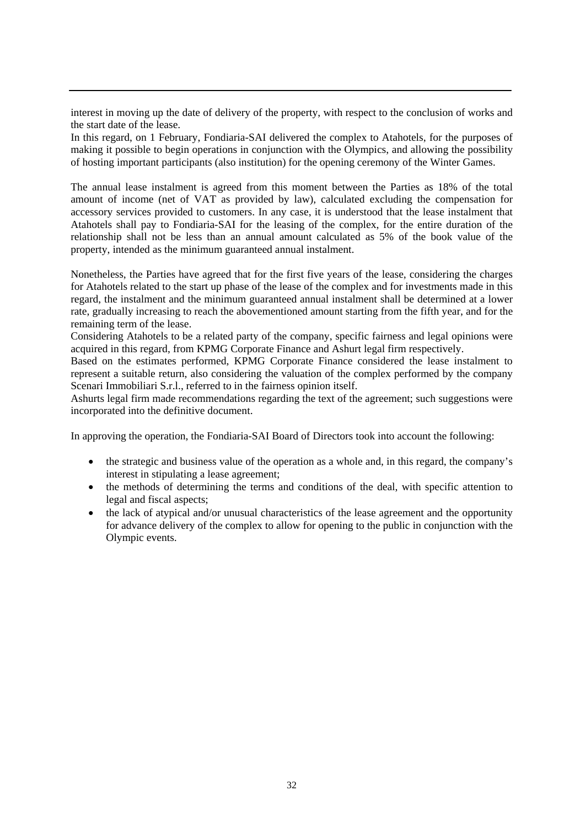interest in moving up the date of delivery of the property, with respect to the conclusion of works and the start date of the lease.

In this regard, on 1 February, Fondiaria-SAI delivered the complex to Atahotels, for the purposes of making it possible to begin operations in conjunction with the Olympics, and allowing the possibility of hosting important participants (also institution) for the opening ceremony of the Winter Games.

The annual lease instalment is agreed from this moment between the Parties as 18% of the total amount of income (net of VAT as provided by law), calculated excluding the compensation for accessory services provided to customers. In any case, it is understood that the lease instalment that Atahotels shall pay to Fondiaria-SAI for the leasing of the complex, for the entire duration of the relationship shall not be less than an annual amount calculated as 5% of the book value of the property, intended as the minimum guaranteed annual instalment.

Nonetheless, the Parties have agreed that for the first five years of the lease, considering the charges for Atahotels related to the start up phase of the lease of the complex and for investments made in this regard, the instalment and the minimum guaranteed annual instalment shall be determined at a lower rate, gradually increasing to reach the abovementioned amount starting from the fifth year, and for the remaining term of the lease.

Considering Atahotels to be a related party of the company, specific fairness and legal opinions were acquired in this regard, from KPMG Corporate Finance and Ashurt legal firm respectively.

Based on the estimates performed, KPMG Corporate Finance considered the lease instalment to represent a suitable return, also considering the valuation of the complex performed by the company Scenari Immobiliari S.r.l., referred to in the fairness opinion itself.

Ashurts legal firm made recommendations regarding the text of the agreement; such suggestions were incorporated into the definitive document.

In approving the operation, the Fondiaria-SAI Board of Directors took into account the following:

- the strategic and business value of the operation as a whole and, in this regard, the company's interest in stipulating a lease agreement;
- the methods of determining the terms and conditions of the deal, with specific attention to legal and fiscal aspects;
- the lack of atypical and/or unusual characteristics of the lease agreement and the opportunity for advance delivery of the complex to allow for opening to the public in conjunction with the Olympic events.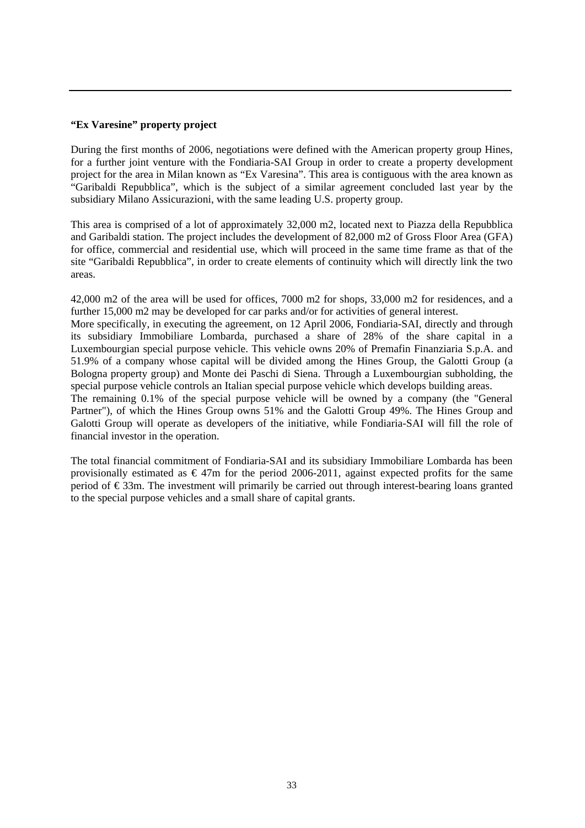## **"Ex Varesine" property project**

During the first months of 2006, negotiations were defined with the American property group Hines, for a further joint venture with the Fondiaria-SAI Group in order to create a property development project for the area in Milan known as "Ex Varesina". This area is contiguous with the area known as "Garibaldi Repubblica", which is the subject of a similar agreement concluded last year by the subsidiary Milano Assicurazioni, with the same leading U.S. property group.

This area is comprised of a lot of approximately 32,000 m2, located next to Piazza della Repubblica and Garibaldi station. The project includes the development of 82,000 m2 of Gross Floor Area (GFA) for office, commercial and residential use, which will proceed in the same time frame as that of the site "Garibaldi Repubblica", in order to create elements of continuity which will directly link the two areas.

42,000 m2 of the area will be used for offices, 7000 m2 for shops, 33,000 m2 for residences, and a further 15,000 m2 may be developed for car parks and/or for activities of general interest.

More specifically, in executing the agreement, on 12 April 2006, Fondiaria-SAI, directly and through its subsidiary Immobiliare Lombarda, purchased a share of 28% of the share capital in a Luxembourgian special purpose vehicle. This vehicle owns 20% of Premafin Finanziaria S.p.A. and 51.9% of a company whose capital will be divided among the Hines Group, the Galotti Group (a Bologna property group) and Monte dei Paschi di Siena. Through a Luxembourgian subholding, the special purpose vehicle controls an Italian special purpose vehicle which develops building areas.

The remaining 0.1% of the special purpose vehicle will be owned by a company (the "General Partner"), of which the Hines Group owns 51% and the Galotti Group 49%. The Hines Group and Galotti Group will operate as developers of the initiative, while Fondiaria-SAI will fill the role of financial investor in the operation.

The total financial commitment of Fondiaria-SAI and its subsidiary Immobiliare Lombarda has been provisionally estimated as  $\epsilon$ 47m for the period 2006-2011, against expected profits for the same period of € 33m. The investment will primarily be carried out through interest-bearing loans granted to the special purpose vehicles and a small share of capital grants.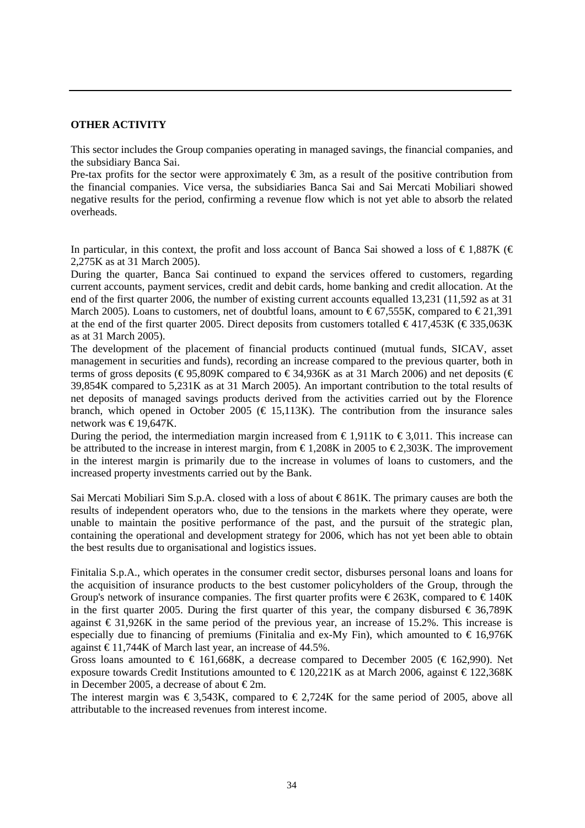## **OTHER ACTIVITY**

This sector includes the Group companies operating in managed savings, the financial companies, and the subsidiary Banca Sai.

Pre-tax profits for the sector were approximately  $\epsilon$ 3m, as a result of the positive contribution from the financial companies. Vice versa, the subsidiaries Banca Sai and Sai Mercati Mobiliari showed negative results for the period, confirming a revenue flow which is not yet able to absorb the related overheads.

In particular, in this context, the profit and loss account of Banca Sai showed a loss of  $\epsilon$ 1,887K ( $\epsilon$ 2,275K as at 31 March 2005).

During the quarter, Banca Sai continued to expand the services offered to customers, regarding current accounts, payment services, credit and debit cards, home banking and credit allocation. At the end of the first quarter 2006, the number of existing current accounts equalled 13,231 (11,592 as at 31 March 2005). Loans to customers, net of doubtful loans, amount to  $\epsilon$ 67.555K, compared to  $\epsilon$ 21.391 at the end of the first quarter 2005. Direct deposits from customers totalled  $\epsilon$ 417,453K ( $\epsilon$ 335,063K) as at 31 March 2005).

The development of the placement of financial products continued (mutual funds, SICAV, asset management in securities and funds), recording an increase compared to the previous quarter, both in terms of gross deposits (€95,809K compared to €34,936K as at 31 March 2006) and net deposits (€ 39,854K compared to 5,231K as at 31 March 2005). An important contribution to the total results of net deposits of managed savings products derived from the activities carried out by the Florence branch, which opened in October 2005 ( $\in$  15,113K). The contribution from the insurance sales network was €19,647K.

During the period, the intermediation margin increased from  $\epsilon$ 1,911K to  $\epsilon$ 3,011. This increase can be attributed to the increase in interest margin, from  $\epsilon$ 1,208K in 2005 to  $\epsilon$ 2,303K. The improvement in the interest margin is primarily due to the increase in volumes of loans to customers, and the increased property investments carried out by the Bank.

Sai Mercati Mobiliari Sim S.p.A. closed with a loss of about  $\in$ 861K. The primary causes are both the results of independent operators who, due to the tensions in the markets where they operate, were unable to maintain the positive performance of the past, and the pursuit of the strategic plan, containing the operational and development strategy for 2006, which has not yet been able to obtain the best results due to organisational and logistics issues.

Finitalia S.p.A., which operates in the consumer credit sector, disburses personal loans and loans for the acquisition of insurance products to the best customer policyholders of the Group, through the Group's network of insurance companies. The first quarter profits were  $\epsilon$ 263K, compared to  $\epsilon$ 140K in the first quarter 2005. During the first quarter of this year, the company disbursed  $\epsilon$  36,789K against  $\epsilon$  31,926K in the same period of the previous year, an increase of 15.2%. This increase is especially due to financing of premiums (Finitalia and ex-My Fin), which amounted to  $\epsilon$  16,976K against  $\text{\textsterling}11,744K$  of March last year, an increase of 44.5%.

Gross loans amounted to  $\in$  161,668K, a decrease compared to December 2005 ( $\in$  162,990). Net exposure towards Credit Institutions amounted to  $\epsilon$ 120,221K as at March 2006, against  $\epsilon$ 122,368K in December 2005, a decrease of about  $\epsilon$ 2m.

The interest margin was  $\epsilon$  3.543K, compared to  $\epsilon$  2.724K for the same period of 2005, above all attributable to the increased revenues from interest income.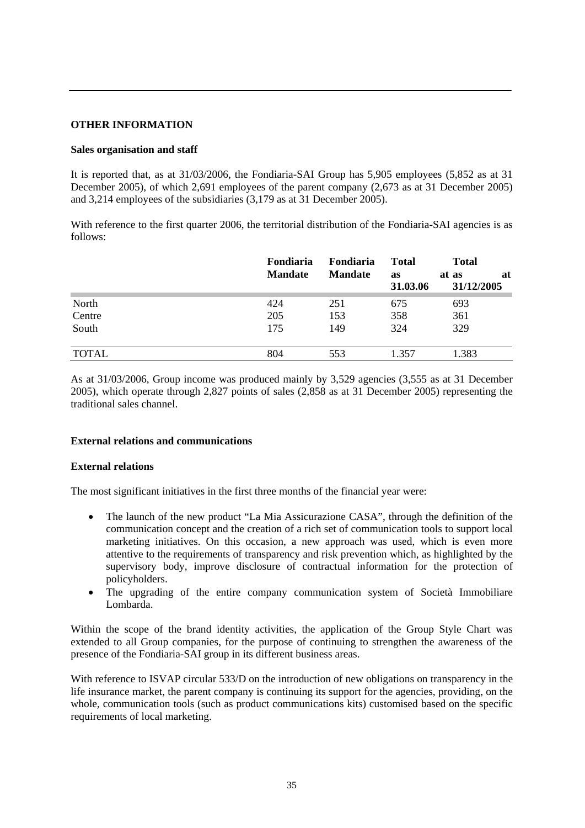# **OTHER INFORMATION**

### **Sales organisation and staff**

It is reported that, as at 31/03/2006, the Fondiaria-SAI Group has 5,905 employees (5,852 as at 31 December 2005), of which 2,691 employees of the parent company (2,673 as at 31 December 2005) and 3,214 employees of the subsidiaries (3,179 as at 31 December 2005).

With reference to the first quarter 2006, the territorial distribution of the Fondiaria-SAI agencies is as follows:

|              | Fondiaria<br><b>Mandate</b> | Fondiaria<br><b>Mandate</b> | <b>Total</b><br>as<br>31.03.06 | <b>Total</b><br>at<br>at as<br>31/12/2005 |
|--------------|-----------------------------|-----------------------------|--------------------------------|-------------------------------------------|
| North        | 424                         | 251                         | 675                            | 693                                       |
| Centre       | 205                         | 153                         | 358                            | 361                                       |
| South        | 175                         | 149                         | 324                            | 329                                       |
| <b>TOTAL</b> | 804                         | 553                         | 1.357                          | 1.383                                     |

As at 31/03/2006, Group income was produced mainly by 3,529 agencies (3,555 as at 31 December 2005), which operate through 2,827 points of sales (2,858 as at 31 December 2005) representing the traditional sales channel.

## **External relations and communications**

#### **External relations**

The most significant initiatives in the first three months of the financial year were:

- The launch of the new product "La Mia Assicurazione CASA", through the definition of the communication concept and the creation of a rich set of communication tools to support local marketing initiatives. On this occasion, a new approach was used, which is even more attentive to the requirements of transparency and risk prevention which, as highlighted by the supervisory body, improve disclosure of contractual information for the protection of policyholders.
- The upgrading of the entire company communication system of Società Immobiliare Lombarda.

Within the scope of the brand identity activities, the application of the Group Style Chart was extended to all Group companies, for the purpose of continuing to strengthen the awareness of the presence of the Fondiaria-SAI group in its different business areas.

With reference to ISVAP circular 533/D on the introduction of new obligations on transparency in the life insurance market, the parent company is continuing its support for the agencies, providing, on the whole, communication tools (such as product communications kits) customised based on the specific requirements of local marketing.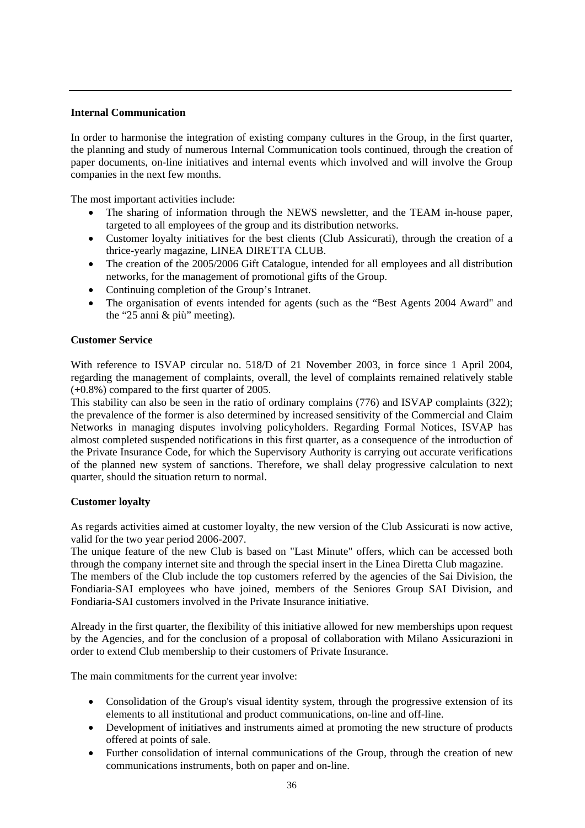## **Internal Communication**

In order to harmonise the integration of existing company cultures in the Group, in the first quarter, the planning and study of numerous Internal Communication tools continued, through the creation of paper documents, on-line initiatives and internal events which involved and will involve the Group companies in the next few months.

The most important activities include:

- The sharing of information through the NEWS newsletter, and the TEAM in-house paper, targeted to all employees of the group and its distribution networks.
- Customer loyalty initiatives for the best clients (Club Assicurati), through the creation of a thrice-yearly magazine, LINEA DIRETTA CLUB.
- The creation of the 2005/2006 Gift Catalogue, intended for all employees and all distribution networks, for the management of promotional gifts of the Group.
- Continuing completion of the Group's Intranet.
- The organisation of events intended for agents (such as the "Best Agents 2004 Award" and the "25 anni & più" meeting).

# **Customer Service**

With reference to ISVAP circular no. 518/D of 21 November 2003, in force since 1 April 2004, regarding the management of complaints, overall, the level of complaints remained relatively stable (+0.8%) compared to the first quarter of 2005.

This stability can also be seen in the ratio of ordinary complains (776) and ISVAP complaints (322); the prevalence of the former is also determined by increased sensitivity of the Commercial and Claim Networks in managing disputes involving policyholders. Regarding Formal Notices, ISVAP has almost completed suspended notifications in this first quarter, as a consequence of the introduction of the Private Insurance Code, for which the Supervisory Authority is carrying out accurate verifications of the planned new system of sanctions. Therefore, we shall delay progressive calculation to next quarter, should the situation return to normal.

## **Customer loyalty**

As regards activities aimed at customer loyalty, the new version of the Club Assicurati is now active, valid for the two year period 2006-2007.

The unique feature of the new Club is based on "Last Minute" offers, which can be accessed both through the company internet site and through the special insert in the Linea Diretta Club magazine.

The members of the Club include the top customers referred by the agencies of the Sai Division, the Fondiaria-SAI employees who have joined, members of the Seniores Group SAI Division, and Fondiaria-SAI customers involved in the Private Insurance initiative.

Already in the first quarter, the flexibility of this initiative allowed for new memberships upon request by the Agencies, and for the conclusion of a proposal of collaboration with Milano Assicurazioni in order to extend Club membership to their customers of Private Insurance.

The main commitments for the current year involve:

- Consolidation of the Group's visual identity system, through the progressive extension of its elements to all institutional and product communications, on-line and off-line.
- Development of initiatives and instruments aimed at promoting the new structure of products offered at points of sale.
- Further consolidation of internal communications of the Group, through the creation of new communications instruments, both on paper and on-line.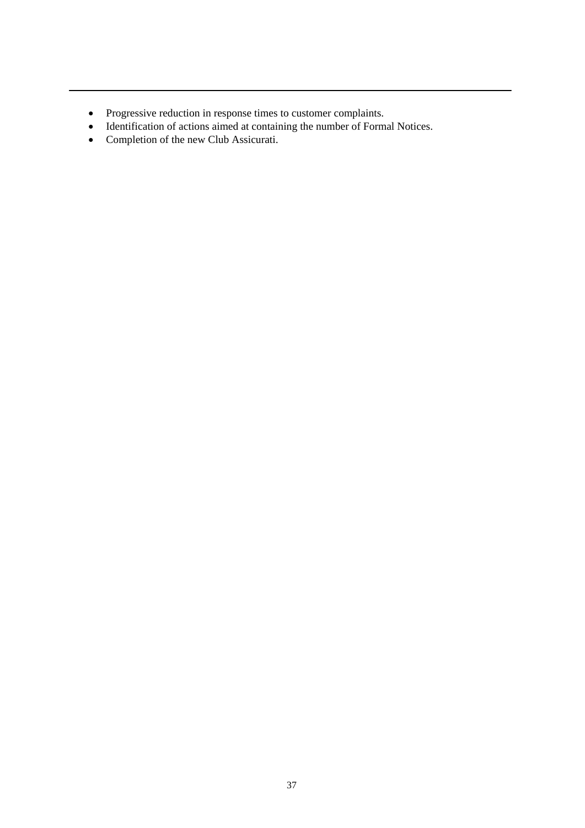- Progressive reduction in response times to customer complaints.
- Identification of actions aimed at containing the number of Formal Notices.
- Completion of the new Club Assicurati.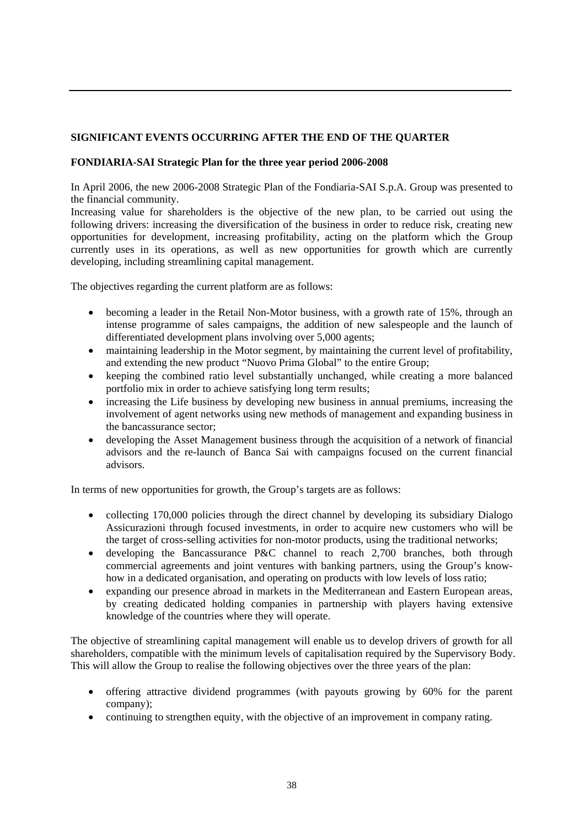# **SIGNIFICANT EVENTS OCCURRING AFTER THE END OF THE QUARTER**

# **FONDIARIA-SAI Strategic Plan for the three year period 2006-2008**

In April 2006, the new 2006-2008 Strategic Plan of the Fondiaria-SAI S.p.A. Group was presented to the financial community.

Increasing value for shareholders is the objective of the new plan, to be carried out using the following drivers: increasing the diversification of the business in order to reduce risk, creating new opportunities for development, increasing profitability, acting on the platform which the Group currently uses in its operations, as well as new opportunities for growth which are currently developing, including streamlining capital management.

The objectives regarding the current platform are as follows:

- becoming a leader in the Retail Non-Motor business, with a growth rate of 15%, through an intense programme of sales campaigns, the addition of new salespeople and the launch of differentiated development plans involving over 5,000 agents;
- maintaining leadership in the Motor segment, by maintaining the current level of profitability, and extending the new product "Nuovo Prima Global" to the entire Group;
- keeping the combined ratio level substantially unchanged, while creating a more balanced portfolio mix in order to achieve satisfying long term results;
- increasing the Life business by developing new business in annual premiums, increasing the involvement of agent networks using new methods of management and expanding business in the bancassurance sector;
- developing the Asset Management business through the acquisition of a network of financial advisors and the re-launch of Banca Sai with campaigns focused on the current financial advisors.

In terms of new opportunities for growth, the Group's targets are as follows:

- collecting 170,000 policies through the direct channel by developing its subsidiary Dialogo Assicurazioni through focused investments, in order to acquire new customers who will be the target of cross-selling activities for non-motor products, using the traditional networks;
- developing the Bancassurance P&C channel to reach 2,700 branches, both through commercial agreements and joint ventures with banking partners, using the Group's knowhow in a dedicated organisation, and operating on products with low levels of loss ratio;
- expanding our presence abroad in markets in the Mediterranean and Eastern European areas, by creating dedicated holding companies in partnership with players having extensive knowledge of the countries where they will operate.

The objective of streamlining capital management will enable us to develop drivers of growth for all shareholders, compatible with the minimum levels of capitalisation required by the Supervisory Body. This will allow the Group to realise the following objectives over the three years of the plan:

- offering attractive dividend programmes (with payouts growing by 60% for the parent company);
- continuing to strengthen equity, with the objective of an improvement in company rating.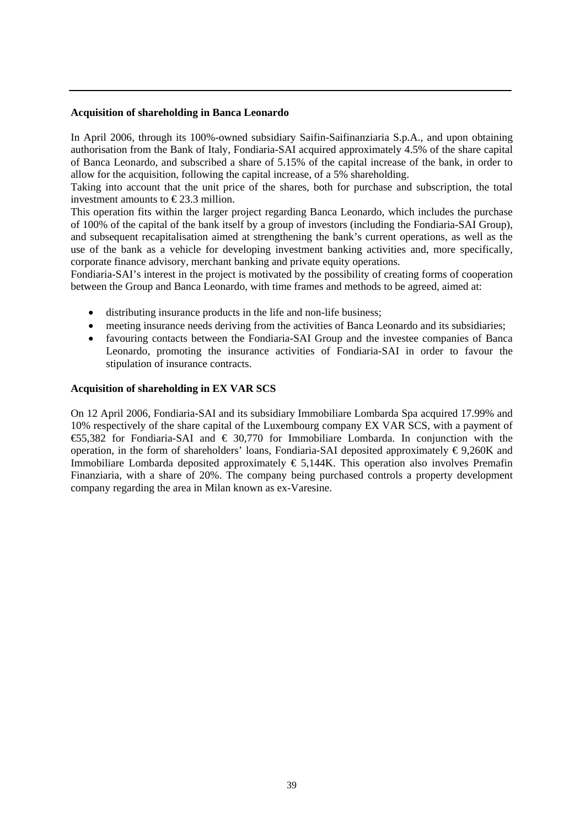#### **Acquisition of shareholding in Banca Leonardo**

In April 2006, through its 100%-owned subsidiary Saifin-Saifinanziaria S.p.A., and upon obtaining authorisation from the Bank of Italy, Fondiaria-SAI acquired approximately 4.5% of the share capital of Banca Leonardo, and subscribed a share of 5.15% of the capital increase of the bank, in order to allow for the acquisition, following the capital increase, of a 5% shareholding.

Taking into account that the unit price of the shares, both for purchase and subscription, the total investment amounts to  $\epsilon$ 23.3 million.

This operation fits within the larger project regarding Banca Leonardo, which includes the purchase of 100% of the capital of the bank itself by a group of investors (including the Fondiaria-SAI Group), and subsequent recapitalisation aimed at strengthening the bank's current operations, as well as the use of the bank as a vehicle for developing investment banking activities and, more specifically, corporate finance advisory, merchant banking and private equity operations.

Fondiaria-SAI's interest in the project is motivated by the possibility of creating forms of cooperation between the Group and Banca Leonardo, with time frames and methods to be agreed, aimed at:

- distributing insurance products in the life and non-life business;
- meeting insurance needs deriving from the activities of Banca Leonardo and its subsidiaries;
- favouring contacts between the Fondiaria-SAI Group and the investee companies of Banca Leonardo, promoting the insurance activities of Fondiaria-SAI in order to favour the stipulation of insurance contracts.

#### **Acquisition of shareholding in EX VAR SCS**

On 12 April 2006, Fondiaria-SAI and its subsidiary Immobiliare Lombarda Spa acquired 17.99% and 10% respectively of the share capital of the Luxembourg company EX VAR SCS, with a payment of €55,382 for Fondiaria-SAI and € 30,770 for Immobiliare Lombarda. In conjunction with the operation, in the form of shareholders' loans, Fondiaria-SAI deposited approximately  $\epsilon$ 9,260K and Immobiliare Lombarda deposited approximately  $\epsilon$  5,144K. This operation also involves Premafin Finanziaria, with a share of 20%. The company being purchased controls a property development company regarding the area in Milan known as ex-Varesine.